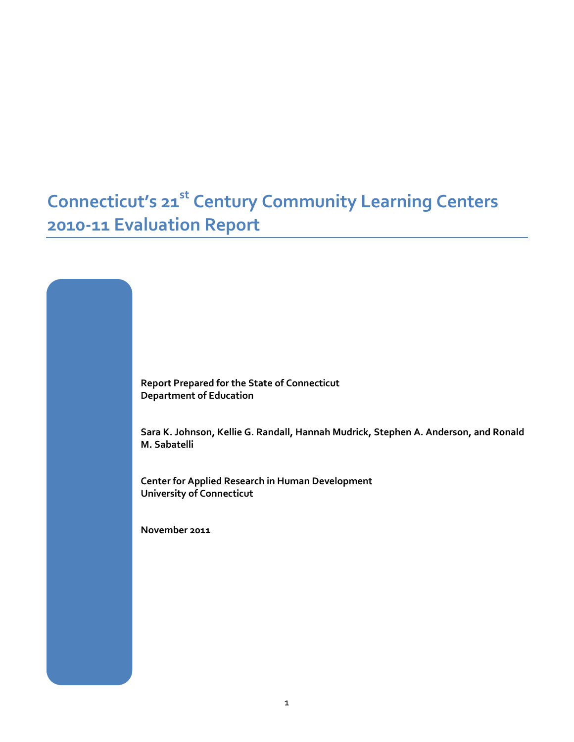# **Connecticut's 21st Century Community Learning Centers 2010-11 Evaluation Report**

**Report Prepared for the State of Connecticut Department of Education**

**Sara K. Johnson, Kellie G. Randall, Hannah Mudrick, Stephen A. Anderson, and Ronald M. Sabatelli**

**Center for Applied Research in Human Development University of Connecticut**

**November 2011**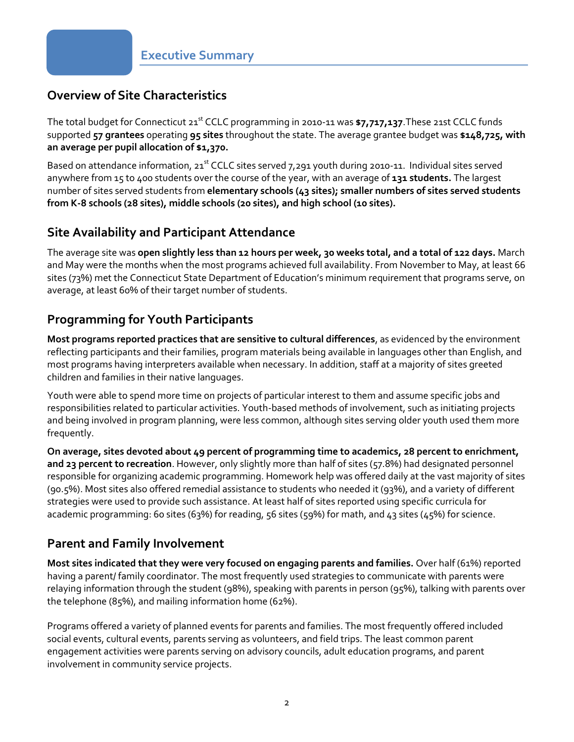### **Overview of Site Characteristics**

The total budget for Connecticut 21st CCLC programming in 2010-11 was **\$7,717,137**.These 21st CCLC funds supported **57 grantees** operating **95 sites** throughout the state. The average grantee budget was **\$148,725, with an average per pupil allocation of \$1,370.** 

Based on attendance information,  $21^{st}$  CCLC sites served 7,291 youth during 2010-11. Individual sites served anywhere from 15 to 400 students over the course of the year, with an average of **131 students.** The largest number of sites served students from **elementary schools (43 sites); smaller numbers of sites served students from K-8 schools (28 sites), middle schools (20 sites), and high school (10 sites).**

#### **Site Availability and Participant Attendance**

The average site was **open slightly less than 12 hours per week, 30 weeks total, and a total of 122 days.** March and May were the months when the most programs achieved full availability. From November to May, at least 66 sites (73%) met the Connecticut State Department of Education's minimum requirement that programs serve, on average, at least 60% of their target number of students.

### **Programming for Youth Participants**

**Most programs reported practices that are sensitive to cultural differences**, as evidenced by the environment reflecting participants and their families, program materials being available in languages other than English, and most programs having interpreters available when necessary. In addition, staff at a majority of sites greeted children and families in their native languages.

Youth were able to spend more time on projects of particular interest to them and assume specific jobs and responsibilities related to particular activities. Youth-based methods of involvement, such as initiating projects and being involved in program planning, were less common, although sites serving older youth used them more frequently.

**On average, sites devoted about 49 percent of programming time to academics, 28 percent to enrichment, and 23 percent to recreation**. However, only slightly more than half of sites (57.8%) had designated personnel responsible for organizing academic programming. Homework help was offered daily at the vast majority of sites (90.5%). Most sites also offered remedial assistance to students who needed it (93%), and a variety of different strategies were used to provide such assistance. At least half of sites reported using specific curricula for academic programming: 60 sites (63%) for reading, 56 sites (59%) for math, and 43 sites (45%) for science.

### **Parent and Family Involvement**

**Most sites indicated that they were very focused on engaging parents and families.** Over half (61%) reported having a parent/ family coordinator. The most frequently used strategies to communicate with parents were relaying information through the student (98%), speaking with parents in person (95%), talking with parents over the telephone (85%), and mailing information home (62%).

Programs offered a variety of planned events for parents and families. The most frequently offered included social events, cultural events, parents serving as volunteers, and field trips. The least common parent engagement activities were parents serving on advisory councils, adult education programs, and parent involvement in community service projects.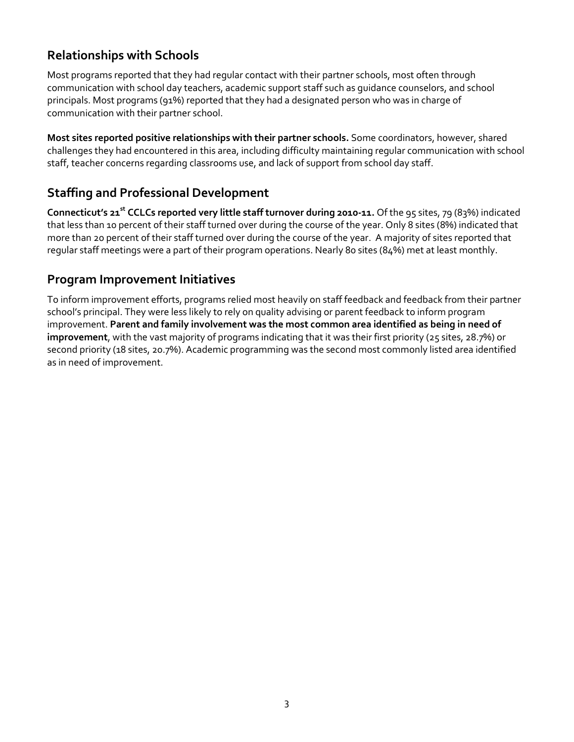#### **Relationships with Schools**

Most programs reported that they had regular contact with their partner schools, most often through communication with school day teachers, academic support staff such as guidance counselors, and school principals. Most programs (91%) reported that they had a designated person who was in charge of communication with their partner school.

**Most sites reported positive relationships with their partner schools.** Some coordinators, however, shared challenges they had encountered in this area, including difficulty maintaining regular communication with school staff, teacher concerns regarding classrooms use, and lack of support from school day staff.

### **Staffing and Professional Development**

**Connecticut's 21st CCLCs reported very little staff turnover during 2010-11.** Of the 95 sites, 79 (83%) indicated that less than 10 percent of their staff turned over during the course of the year. Only 8 sites (8%) indicated that more than 20 percent of their staff turned over during the course of the year. A majority of sites reported that regular staff meetings were a part of their program operations. Nearly 80 sites (84%) met at least monthly.

#### **Program Improvement Initiatives**

To inform improvement efforts, programs relied most heavily on staff feedback and feedback from their partner school's principal. They were less likely to rely on quality advising or parent feedback to inform program improvement. **Parent and family involvement was the most common area identified as being in need of improvement**, with the vast majority of programs indicating that it was their first priority (25 sites, 28.7%) or second priority (18 sites, 20.7%). Academic programming was the second most commonly listed area identified as in need of improvement.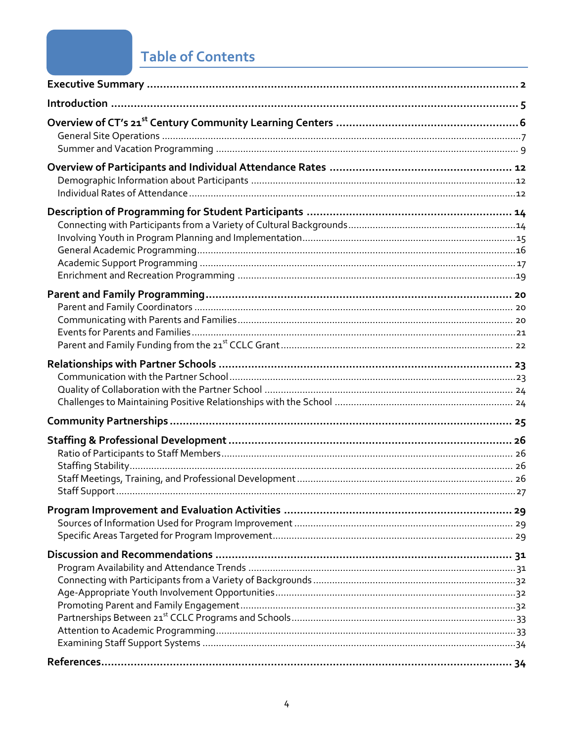# **Table of Contents**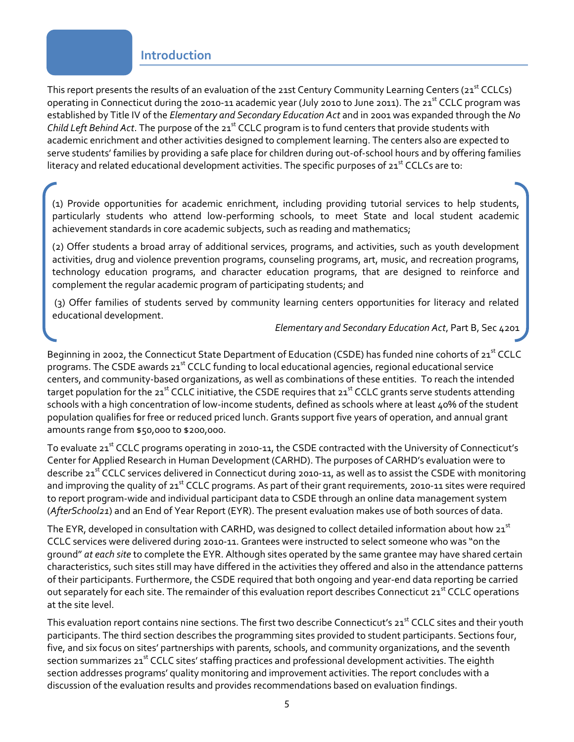#### **Introduction**

This report presents the results of an evaluation of the 21st Century Community Learning Centers (21<sup>st</sup> CCLCs) operating in Connecticut during the 2010-11 academic year (July 2010 to June 2011). The 21<sup>st</sup> CCLC program was established by Title IV of the *Elementary and Secondary Education Act* and in 2001 was expanded through the *No Child Left Behind Act*. The purpose of the 21<sup>st</sup> CCLC program is to fund centers that provide students with academic enrichment and other activities designed to complement learning. The centers also are expected to serve students' families by providing a safe place for children during out-of-school hours and by offering families literacy and related educational development activities. The specific purposes of  $21<sup>st</sup>$  CCLCs are to:

(1) Provide opportunities for academic enrichment, including providing tutorial services to help students, particularly students who attend low-performing schools, to meet State and local student academic achievement standards in core academic subjects, such as reading and mathematics;

(2) Offer students a broad array of additional services, programs, and activities, such as youth development activities, drug and violence prevention programs, counseling programs, art, music, and recreation programs, technology education programs, and character education programs, that are designed to reinforce and complement the regular academic program of participating students; and

(3) Offer families of students served by community learning centers opportunities for literacy and related educational development.

*Elementary and Secondary Education Act*, Part B, Sec 4201

Beginning in 2002, the Connecticut State Department of Education (CSDE) has funded nine cohorts of 21<sup>st</sup> CCLC programs. The CSDE awards  $21^{st}$  CCLC funding to local educational agencies, regional educational service centers, and community-based organizations, as well as combinations of these entities. To reach the intended target population for the 21<sup>st</sup> CCLC initiative, the CSDE requires that 21<sup>st</sup> CCLC grants serve students attending schools with a high concentration of low-income students, defined as schools where at least 40% of the student population qualifies for free or reduced priced lunch. Grants support five years of operation, and annual grant amounts range from \$50,000 to \$200,000.

To evaluate 21<sup>st</sup> CCLC programs operating in 2010-11, the CSDE contracted with the University of Connecticut's Center for Applied Research in Human Development (CARHD). The purposes of CARHD's evaluation were to describe 21<sup>st</sup> CCLC services delivered in Connecticut during 2010-11, as well as to assist the CSDE with monitoring and improving the quality of 21<sup>st</sup> CCLC programs. As part of their grant requirements, 2010-11 sites were required to report program-wide and individual participant data to CSDE through an online data management system (*AfterSchool21*) and an End of Year Report (EYR). The present evaluation makes use of both sources of data.

The EYR, developed in consultation with CARHD, was designed to collect detailed information about how  $21^{st}$ CCLC services were delivered during 2010-11. Grantees were instructed to select someone who was "on the ground" *at each site* to complete the EYR. Although sites operated by the same grantee may have shared certain characteristics, such sites still may have differed in the activities they offered and also in the attendance patterns of their participants. Furthermore, the CSDE required that both ongoing and year-end data reporting be carried out separately for each site. The remainder of this evaluation report describes Connecticut 21<sup>st</sup> CCLC operations at the site level.

This evaluation report contains nine sections. The first two describe Connecticut's 21<sup>st</sup> CCLC sites and their youth participants. The third section describes the programming sites provided to student participants. Sections four, five, and six focus on sites' partnerships with parents, schools, and community organizations, and the seventh section summarizes 21<sup>st</sup> CCLC sites' staffing practices and professional development activities. The eighth section addresses programs' quality monitoring and improvement activities. The report concludes with a discussion of the evaluation results and provides recommendations based on evaluation findings.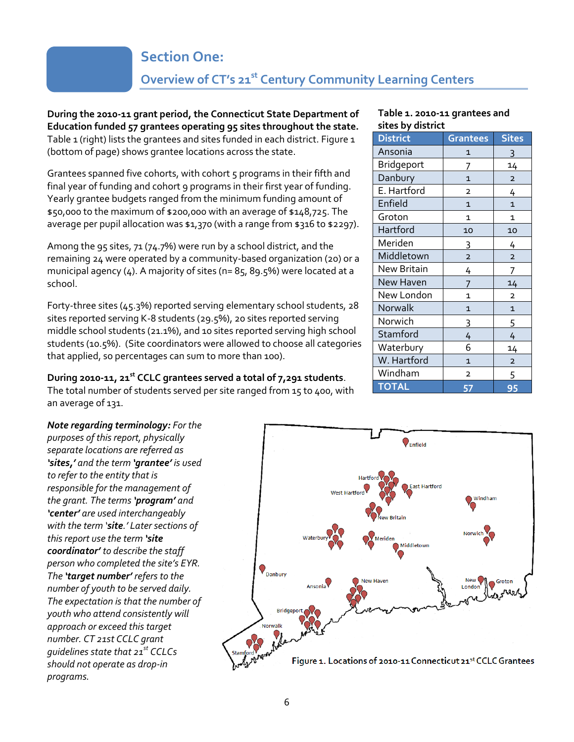## **Section One:**

## **Overview of CT's 21st Century Community Learning Centers**

**During the 2010-11 grant period, the Connecticut State Department of Education funded 57 grantees operating 95 sites throughout the state.** Table 1 (right) lists the grantees and sites funded in each district. Figure 1 (bottom of page) shows grantee locations across the state.

Grantees spanned five cohorts, with cohort 5 programs in their fifth and final year of funding and cohort 9 programs in their first year of funding. Yearly grantee budgets ranged from the minimum funding amount of \$50,000 to the maximum of \$200,000 with an average of \$148,725. The average per pupil allocation was \$1,370 (with a range from \$316 to \$2297).

Among the 95 sites, 71 (74.7%) were run by a school district, and the remaining 24 were operated by a community-based organization (20) or a municipal agency (4). A majority of sites (n= 85, 89.5%) were located at a school.

Forty-three sites (45.3%) reported serving elementary school students, 28 sites reported serving K-8 students (29.5%), 20 sites reported serving middle school students (21.1%), and 10 sites reported serving high school students (10.5%). (Site coordinators were allowed to choose all categories that applied, so percentages can sum to more than 100).

#### **During 2010-11, 21st CCLC grantees served a total of 7,291 students**.

The total number of students served per site ranged from 15 to 400, with an average of 131.

*Note regarding terminology: For the purposes of this report, physically separate locations are referred as 'sites,' and the term 'grantee' is used to refer to the entity that is responsible for the management of the grant. The terms 'program' and 'center' are used interchangeably with the term 'site.' Later sections of this report use the term 'site coordinator' to describe the staff person who completed the site's EYR. The 'target number' refers to the number of youth to be served daily. The expectation is that the number of youth who attend consistently will approach or exceed this target number. CT 21st CCLC grant guidelines state that 21st CCLCs should not operate as drop-in programs.*



#### **Table 1. 2010-11 grantees and sites by district**

| orces wy urseriec  |                         |                |  |
|--------------------|-------------------------|----------------|--|
| <b>District</b>    | <b>Grantees</b>         | <b>Sites</b>   |  |
| Ansonia            | 1                       | 3              |  |
| Bridgeport         | 7                       | 14             |  |
| Danbury            | $\overline{1}$          | $\overline{2}$ |  |
| E. Hartford        | $\overline{2}$          | 4              |  |
| Enfield            | $\mathbf{1}$            | 1              |  |
| Groton             | 1                       | 1              |  |
| Hartford           | 10                      | 10             |  |
| Meriden            | 3                       | 4              |  |
| Middletown         | $\overline{\mathbf{c}}$ | $\overline{2}$ |  |
| <b>New Britain</b> | 4                       | $\overline{1}$ |  |
| New Haven          | 7                       | 14             |  |
| New London         | 1                       | $\overline{2}$ |  |
| Norwalk            | $\overline{1}$          | $\overline{1}$ |  |
| Norwich            | 3                       | 5              |  |
| Stamford           | 4                       | 4              |  |
| Waterbury          | 6                       | 14             |  |
| W. Hartford        | $\mathbf{1}$            | $\mathbf 2$    |  |
| Windham            | 2                       | 5              |  |
| <b>TOTAL</b>       | 57                      | 95             |  |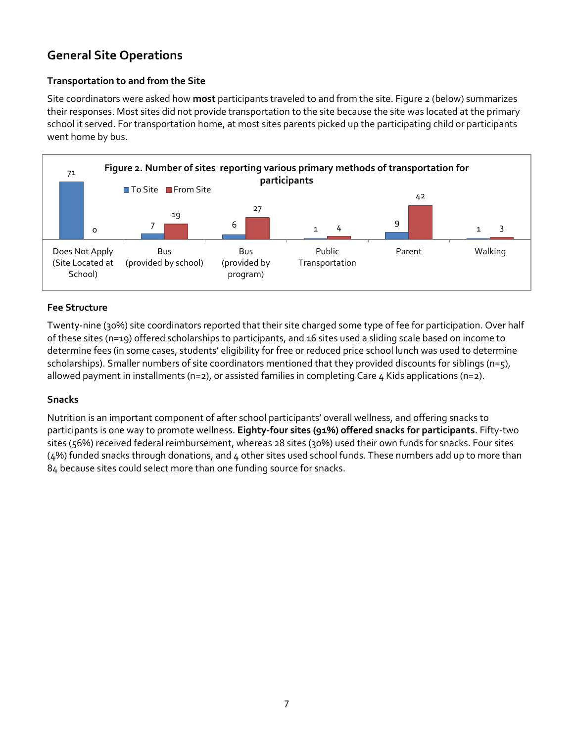### **General Site Operations**

#### **Transportation to and from the Site**

Site coordinators were asked how **most** participants traveled to and from the site. Figure 2 (below) summarizes their responses. Most sites did not provide transportation to the site because the site was located at the primary school it served. For transportation home, at most sites parents picked up the participating child or participants went home by bus.



#### **Fee Structure**

Twenty-nine (30%) site coordinators reported that their site charged some type of fee for participation. Over half of these sites (n=19) offered scholarships to participants, and 16 sites used a sliding scale based on income to determine fees (in some cases, students' eligibility for free or reduced price school lunch was used to determine scholarships). Smaller numbers of site coordinators mentioned that they provided discounts for siblings (n=5), allowed payment in installments (n=2), or assisted families in completing Care 4 Kids applications (n=2).

#### **Snacks**

Nutrition is an important component of after school participants' overall wellness, and offering snacks to participants is one way to promote wellness. **Eighty-four sites (91%) offered snacks for participants**. Fifty-two sites (56%) received federal reimbursement, whereas 28 sites (30%) used their own funds for snacks. Four sites (4%) funded snacks through donations, and 4 other sites used school funds. These numbers add up to more than 84 because sites could select more than one funding source for snacks.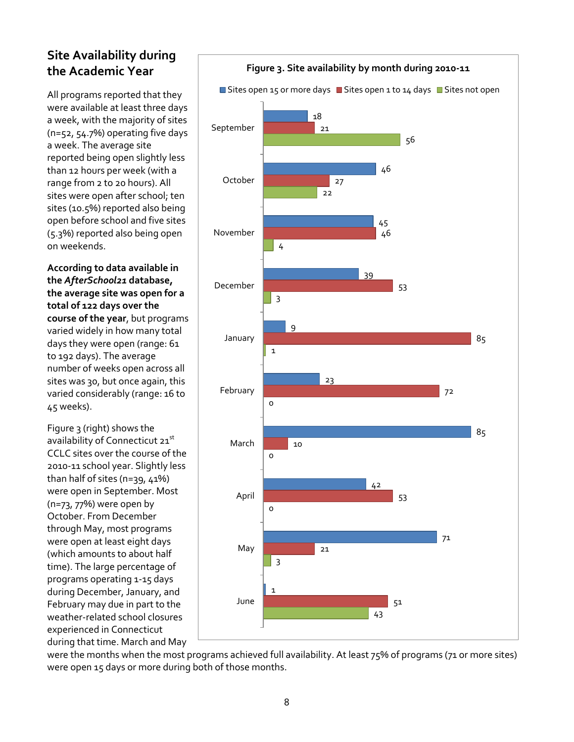### **Site Availability during the Academic Year**

All programs reported that they were available at least three days a week, with the majority of sites (n=52, 54.7%) operating five days a week. The average site reported being open slightly less than 12 hours per week (with a range from 2 to 20 hours). All sites were open after school; ten sites (10.5%) reported also being open before school and five sites (5.3%) reported also being open on weekends.

**According to data available in the** *AfterSchool21* **database, the average site was open for a total of 122 days over the course of the year**, but programs varied widely in how many total days they were open (range: 61 to 192 days). The average number of weeks open across all sites was 30, but once again, this varied considerably (range: 16 to 45 weeks).

Figure 3 (right) shows the availability of Connecticut 21st CCLC sites over the course of the 2010-11 school year. Slightly less than half of sites (n=39, 41%) were open in September. Most (n=73, 77%) were open by October. From December through May, most programs were open at least eight days (which amounts to about half time). The large percentage of programs operating 1-15 days during December, January, and February may due in part to the weather-related school closures experienced in Connecticut during that time. March and May



were the months when the most programs achieved full availability. At least 75% of programs (71 or more sites) were open 15 days or more during both of those months.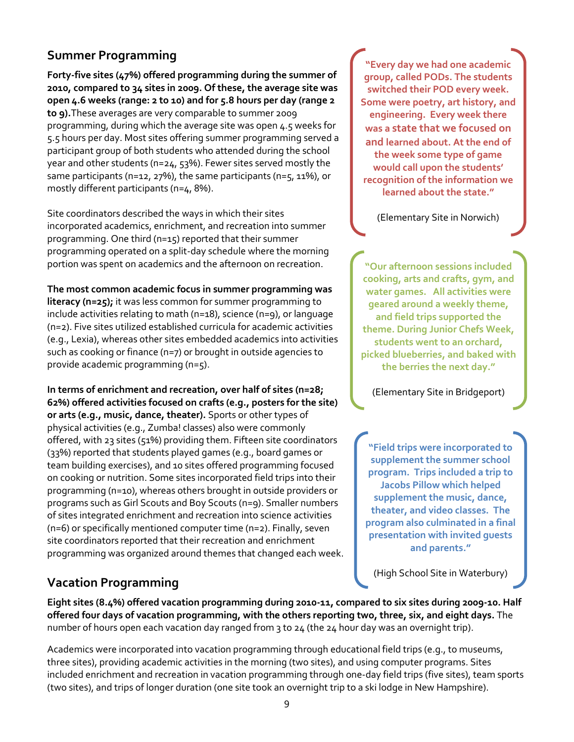#### **Summer Programming**

**Forty-five sites (47%) offered programming during the summer of 2010, compared to 34 sites in 2009. Of these, the average site was open 4.6 weeks (range: 2 to 10) and for 5.8 hours per day (range 2 to 9).**These averages are very comparable to summer 2009 programming, during which the average site was open 4.5 weeks for 5.5 hours per day. Most sites offering summer programming served a participant group of both students who attended during the school year and other students (n=24, 53%). Fewer sites served mostly the same participants (n=12, 27%), the same participants (n=5, 11%), or mostly different participants (n=4, 8%).

Site coordinators described the ways in which their sites incorporated academics, enrichment, and recreation into summer programming. One third (n=15) reported that their summer programming operated on a split-day schedule where the morning portion was spent on academics and the afternoon on recreation.

**The most common academic focus in summer programming was** 

**literacy (n=25);** it was less common for summer programming to include activities relating to math (n=18), science (n=9), or language (n=2). Five sites utilized established curricula for academic activities (e.g., Lexia), whereas other sites embedded academics into activities such as cooking or finance (n=7) or brought in outside agencies to provide academic programming (n=5).

**In terms of enrichment and recreation, over half of sites (n=28; 62%) offered activities focused on crafts (e.g., posters for the site) or arts (e.g., music, dance, theater).** Sports or other types of physical activities (e.g., Zumba! classes) also were commonly offered, with 23 sites (51%) providing them. Fifteen site coordinators (33%) reported that students played games (e.g., board games or team building exercises), and 10 sites offered programming focused on cooking or nutrition. Some sites incorporated field trips into their programming (n=10), whereas others brought in outside providers or programs such as Girl Scouts and Boy Scouts (n=9). Smaller numbers of sites integrated enrichment and recreation into science activities (n=6) or specifically mentioned computer time (n=2). Finally, seven site coordinators reported that their recreation and enrichment programming was organized around themes that changed each week.

### **Vacation Programming**

**"Every day we had one academic group, called PODs. The students switched their POD every week. Some were poetry, art history, and engineering. Every week there was a state that we focused on and learned about. At the end of the week some type of game would call upon the students' recognition of the information we learned about the state."**

(Elementary Site in Norwich)

**"Our afternoon sessions included cooking, arts and crafts, gym, and water games. All activities were geared around a weekly theme, and field trips supported the theme. During Junior Chefs Week, students went to an orchard, picked blueberries, and baked with the berries the next day."** 

(Elementary Site in Bridgeport)

**"Field trips were incorporated to supplement the summer school program. Trips included a trip to Jacobs Pillow which helped supplement the music, dance, theater, and video classes. The program also culminated in a final presentation with invited guests and parents."** 

(High School Site in Waterbury)

**Eight sites (8.4%) offered vacation programming during 2010-11, compared to six sites during 2009-10. Half offered four days of vacation programming, with the others reporting two, three, six, and eight days.** The number of hours open each vacation day ranged from 3 to 24 (the 24 hour day was an overnight trip).

Academics were incorporated into vacation programming through educational field trips (e.g., to museums, three sites), providing academic activities in the morning (two sites), and using computer programs. Sites included enrichment and recreation in vacation programming through one-day field trips (five sites), team sports (two sites), and trips of longer duration (one site took an overnight trip to a ski lodge in New Hampshire).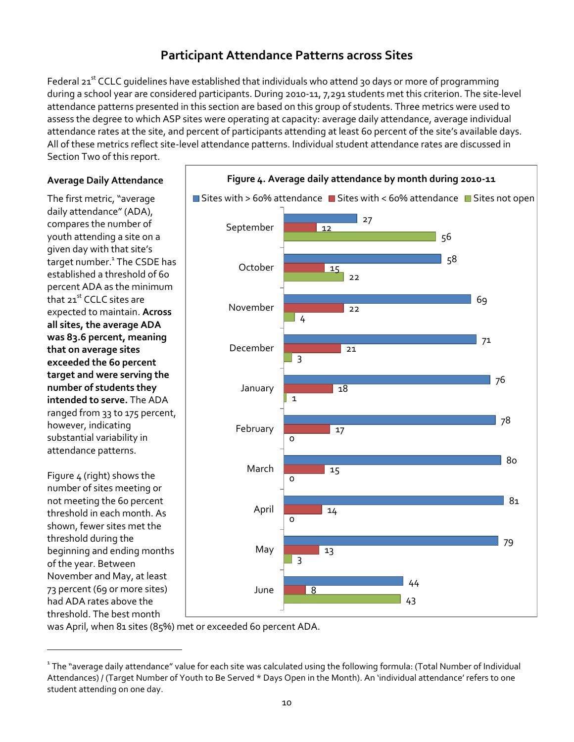#### **Participant Attendance Patterns across Sites**

Federal 21<sup>st</sup> CCLC quidelines have established that individuals who attend 30 days or more of programming during a school year are considered participants. During 2010-11, 7,291 students met this criterion. The site-level attendance patterns presented in this section are based on this group of students. Three metrics were used to assess the degree to which ASP sites were operating at capacity: average daily attendance, average individual attendance rates at the site, and percent of participants attending at least 60 percent of the site's available days. All of these metrics reflect site-level attendance patterns. Individual student attendance rates are discussed in Section Two of this report.

#### **Average Daily Attendance**

The first metric, "average daily attendance" (ADA), compares the number of youth attending a site on a given day with that site's target number.<sup>1</sup> The CSDE has established a threshold of 60 percent ADA as the minimum that 21<sup>st</sup> CCLC sites are expected to maintain. **Across all sites, the average ADA was 83.6 percent, meaning that on average sites exceeded the 60 percent target and were serving the number of students they intended to serve.** The ADA ranged from 33 to 175 percent, however, indicating substantial variability in attendance patterns.

Figure 4 (right) shows the number of sites meeting or not meeting the 60 percent threshold in each month. As shown, fewer sites met the threshold during the beginning and ending months of the year. Between November and May, at least 73 percent (69 or more sites) had ADA rates above the threshold. The best month

 $\overline{a}$ 



was April, when 81 sites (85%) met or exceeded 60 percent ADA.

 $^{\rm ^{1}}$ The "average daily attendance" value for each site was calculated using the following formula: (Total Number of Individual Attendances) / (Target Number of Youth to Be Served \* Days Open in the Month). An 'individual attendance' refers to one student attending on one day.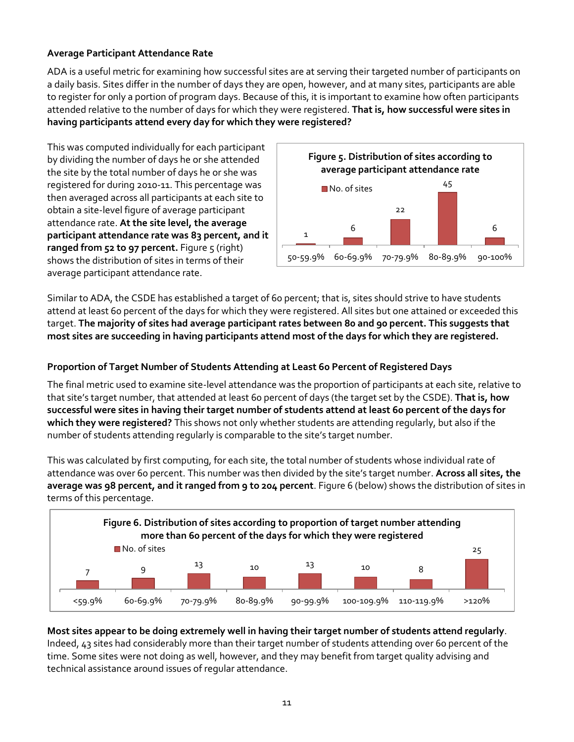#### **Average Participant Attendance Rate**

ADA is a useful metric for examining how successful sites are at serving their targeted number of participants on a daily basis. Sites differ in the number of days they are open, however, and at many sites, participants are able to register for only a portion of program days. Because of this, it is important to examine how often participants attended relative to the number of days for which they were registered. **That is, how successful were sites in having participants attend every day for which they were registered?** 

This was computed individually for each participant by dividing the number of days he or she attended the site by the total number of days he or she was registered for during 2010-11. This percentage was then averaged across all participants at each site to obtain a site-level figure of average participant attendance rate. **At the site level, the average participant attendance rate was 83 percent, and it ranged from 52 to 97 percent.** Figure 5 (right) shows the distribution of sites in terms of their average participant attendance rate.



Similar to ADA, the CSDE has established a target of 60 percent; that is, sites should strive to have students attend at least 60 percent of the days for which they were registered. All sites but one attained or exceeded this target. **The majority of sites had average participant rates between 80 and 90 percent. This suggests that most sites are succeeding in having participants attend most of the days for which they are registered.** 

#### **Proportion of Target Number of Students Attending at Least 60 Percent of Registered Days**

The final metric used to examine site-level attendance was the proportion of participants at each site, relative to that site's target number, that attended at least 60 percent of days (the target set by the CSDE). **That is, how successful were sites in having their target number of students attend at least 60 percent of the days for which they were registered?** This shows not only whether students are attending regularly, but also if the number of students attending regularly is comparable to the site's target number.

This was calculated by first computing, for each site, the total number of students whose individual rate of attendance was over 60 percent. This number was then divided by the site's target number. **Across all sites, the average was 98 percent, and it ranged from 9 to 204 percent**. Figure 6 (below) shows the distribution of sites in terms of this percentage.



**Most sites appear to be doing extremely well in having their target number of students attend regularly**. Indeed, 43 sites had considerably more than their target number of students attending over 60 percent of the time. Some sites were not doing as well, however, and they may benefit from target quality advising and technical assistance around issues of regular attendance.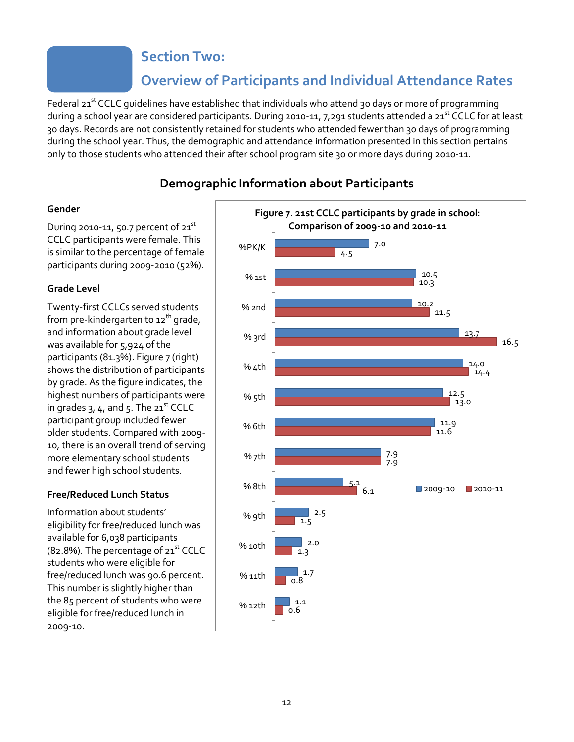### **Section Two:**

## **Overview of Participants and Individual Attendance Rates**

Federal 21<sup>st</sup> CCLC guidelines have established that individuals who attend 30 days or more of programming during a school year are considered participants. During 2010-11, 7, 291 students attended a 21<sup>st</sup> CCLC for at least 30 days. Records are not consistently retained for students who attended fewer than 30 days of programming during the school year. Thus, the demographic and attendance information presented in this section pertains only to those students who attended their after school program site 30 or more days during 2010-11.

#### **Demographic Information about Participants**

#### **Gender**

During 2010-11, 50.7 percent of  $21<sup>st</sup>$ CCLC participants were female. This is similar to the percentage of female participants during 2009-2010 (52%).

#### **Grade Level**

Twenty-first CCLCs served students from pre-kindergarten to  $12<sup>th</sup>$  grade, and information about grade level was available for 5,924 of the participants (81.3%). Figure 7 (right) shows the distribution of participants by grade. As the figure indicates, the highest numbers of participants were in grades  $3, 4$ , and  $5$ . The  $21<sup>st</sup>$  CCLC participant group included fewer older students. Compared with 2009- 10, there is an overall trend of serving more elementary school students and fewer high school students.

#### **Free/Reduced Lunch Status**

Information about students' eligibility for free/reduced lunch was available for 6,038 participants (82.8%). The percentage of  $21<sup>st</sup>$  CCLC students who were eligible for free/reduced lunch was 90.6 percent. This number is slightly higher than the 85 percent of students who were eligible for free/reduced lunch in 2009-10.

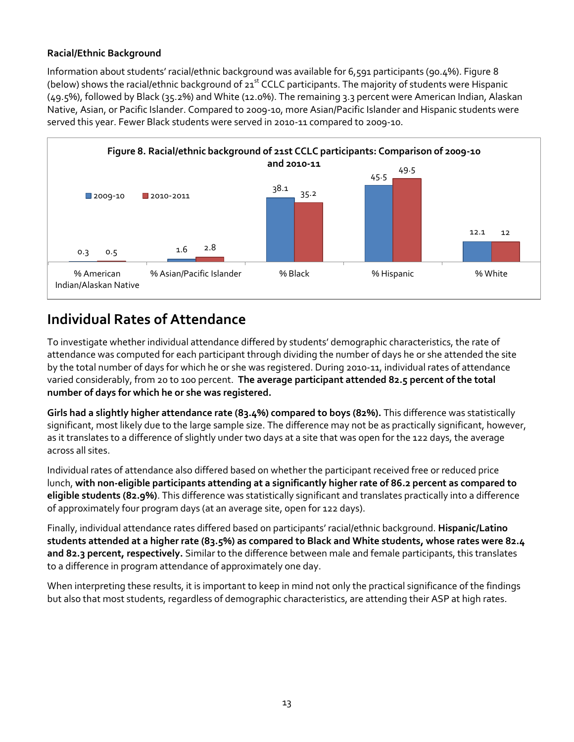#### **Racial/Ethnic Background**

Information about students' racial/ethnic background was available for 6,591 participants (90.4%). Figure 8 (below) shows the racial/ethnic background of 21<sup>st</sup> CCLC participants. The majority of students were Hispanic (49.5%), followed by Black (35.2%) and White (12.0%). The remaining 3.3 percent were American Indian, Alaskan Native, Asian, or Pacific Islander. Compared to 2009-10, more Asian/Pacific Islander and Hispanic students were served this year. Fewer Black students were served in 2010-11 compared to 2009-10.



## **Individual Rates of Attendance**

To investigate whether individual attendance differed by students' demographic characteristics, the rate of attendance was computed for each participant through dividing the number of days he or she attended the site by the total number of days for which he or she was registered. During 2010-11, individual rates of attendance varied considerably, from 20 to 100 percent. **The average participant attended 82.5 percent of the total number of days for which he or she was registered.** 

**Girls had a slightly higher attendance rate (83.4%) compared to boys (82%).** This difference was statistically significant, most likely due to the large sample size. The difference may not be as practically significant, however, as it translates to a difference of slightly under two days at a site that was open for the 122 days, the average across all sites.

Individual rates of attendance also differed based on whether the participant received free or reduced price lunch, **with non-eligible participants attending at a significantly higher rate of 86.2 percent as compared to eligible students (82.9%)**. This difference was statistically significant and translates practically into a difference of approximately four program days (at an average site, open for 122 days).

Finally, individual attendance rates differed based on participants' racial/ethnic background. **Hispanic/Latino students attended at a higher rate (83.5%) as compared to Black and White students, whose rates were 82.4 and 82.3 percent, respectively.** Similar to the difference between male and female participants, this translates to a difference in program attendance of approximately one day.

When interpreting these results, it is important to keep in mind not only the practical significance of the findings but also that most students, regardless of demographic characteristics, are attending their ASP at high rates.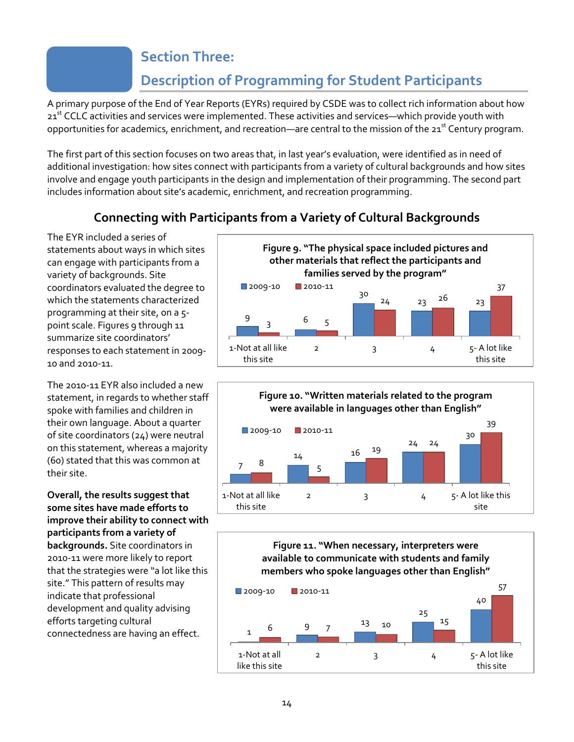## **Section Three:**

## **Description of Programming for Student Participants**

A primary purpose of the End of Year Reports (EYRs) required by CSDE was to collect rich information about how 21<sup>st</sup> CCLC activities and services were implemented. These activities and services—which provide youth with opportunities for academics, enrichment, and recreation—are central to the mission of the  $21<sup>st</sup>$  Century program.

The first part of this section focuses on two areas that, in last year's evaluation, were identified as in need of additional investigation: how sites connect with participants from a variety of cultural backgrounds and how sites involve and engage youth participants in the design and implementation of their programming. The second part includes information about site's academic, enrichment, and recreation programming.

#### **Connecting with Participants from a Variety of Cultural Backgrounds**

The EYR included a series of statements about ways in which sites can engage with participants from a variety of backgrounds. Site coordinators evaluated the degree to which the statements characterized programming at their site, on a 5 point scale. Figures 9 through 11 summarize site coordinators' responses to each statement in 2009- 10 and 2010-11.

The 2010-11 EYR also included a new statement, in regards to whether staff spoke with families and children in their own language. About a quarter of site coordinators (24) were neutral on this statement, whereas a majority (60) stated that this was common at their site.

**Overall, the results suggest that some sites have made efforts to improve their ability to connect with participants from a variety of backgrounds.** Site coordinators in 2010-11 were more likely to report that the strategies were "a lot like this site." This pattern of results may indicate that professional development and quality advising efforts targeting cultural connectedness are having an effect.





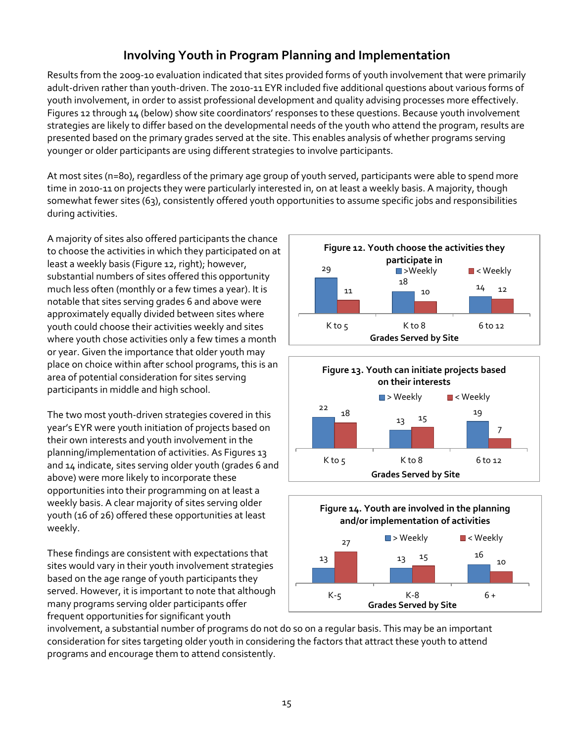### **Involving Youth in Program Planning and Implementation**

Results from the 2009-10 evaluation indicated that sites provided forms of youth involvement that were primarily adult-driven rather than youth-driven. The 2010-11 EYR included five additional questions about various forms of youth involvement, in order to assist professional development and quality advising processes more effectively. Figures 12 through 14 (below) show site coordinators' responses to these questions. Because youth involvement strategies are likely to differ based on the developmental needs of the youth who attend the program, results are presented based on the primary grades served at the site. This enables analysis of whether programs serving younger or older participants are using different strategies to involve participants.

At most sites (n=80), regardless of the primary age group of youth served, participants were able to spend more time in 2010-11 on projects they were particularly interested in, on at least a weekly basis. A majority, though somewhat fewer sites (63), consistently offered youth opportunities to assume specific jobs and responsibilities during activities.

A majority of sites also offered participants the chance to choose the activities in which they participated on at least a weekly basis (Figure 12, right); however, substantial numbers of sites offered this opportunity much less often (monthly or a few times a year). It is notable that sites serving grades 6 and above were approximately equally divided between sites where youth could choose their activities weekly and sites where youth chose activities only a few times a month or year. Given the importance that older youth may place on choice within after school programs, this is an area of potential consideration for sites serving participants in middle and high school.

The two most youth-driven strategies covered in this year's EYR were youth initiation of projects based on their own interests and youth involvement in the planning/implementation of activities. As Figures 13 and 14 indicate, sites serving older youth (grades 6 and above) were more likely to incorporate these opportunities into their programming on at least a weekly basis. A clear majority of sites serving older youth (16 of 26) offered these opportunities at least weekly.

These findings are consistent with expectations that sites would vary in their youth involvement strategies based on the age range of youth participants they served. However, it is important to note that although many programs serving older participants offer frequent opportunities for significant youth







involvement, a substantial number of programs do not do so on a regular basis. This may be an important consideration for sites targeting older youth in considering the factors that attract these youth to attend programs and encourage them to attend consistently.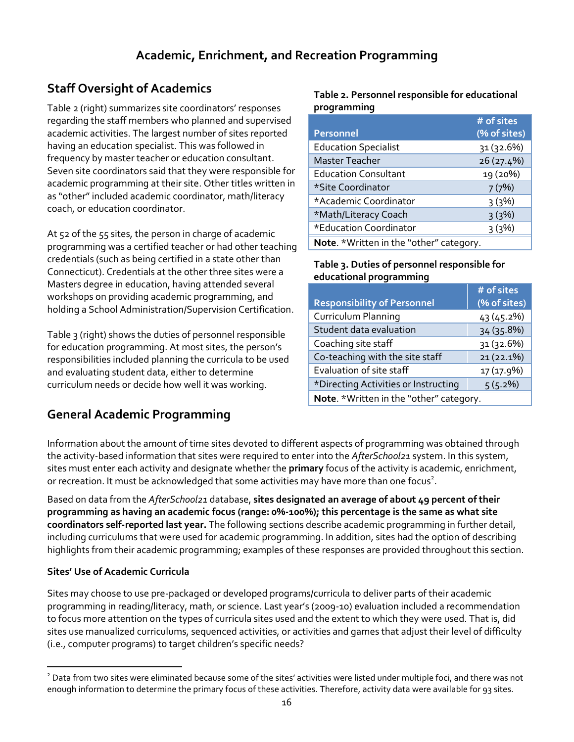## **Staff Oversight of Academics**

Table 2 (right) summarizes site coordinators' responses regarding the staff members who planned and supervised academic activities. The largest number of sites reported having an education specialist. This was followed in frequency by master teacher or education consultant. Seven site coordinators said that they were responsible for academic programming at their site. Other titles written in as "other" included academic coordinator, math/literacy coach, or education coordinator.

At 52 of the 55 sites, the person in charge of academic programming was a certified teacher or had other teaching credentials (such as being certified in a state other than Connecticut). Credentials at the other three sites were a Masters degree in education, having attended several workshops on providing academic programming, and holding a School Administration/Supervision Certification.

Table 3 (right) shows the duties of personnel responsible for education programming. At most sites, the person's responsibilities included planning the curricula to be used and evaluating student data, either to determine curriculum needs or decide how well it was working.

## **General Academic Programming**

#### **Table 2. Personnel responsible for educational programming**

|                                         | $#$ of sites |  |
|-----------------------------------------|--------------|--|
| <b>Personnel</b>                        | (% of sites) |  |
| <b>Education Specialist</b>             | 31 (32.6%)   |  |
| <b>Master Teacher</b>                   | 26 (27.4%)   |  |
| <b>Education Consultant</b>             | 19 (20%)     |  |
| *Site Coordinator                       | 7(7%)        |  |
| *Academic Coordinator                   | 3(3%)        |  |
| *Math/Literacy Coach                    | 3(3%)        |  |
| *Education Coordinator                  | 3(3%)        |  |
| Note. *Written in the "other" category. |              |  |

#### **Table 3. Duties of personnel responsible for educational programming**

|                                         | # of sites   |  |
|-----------------------------------------|--------------|--|
| <b>Responsibility of Personnel</b>      | (% of sites) |  |
| <b>Curriculum Planning</b>              | 43 (45.2%)   |  |
| Student data evaluation                 | 34 (35.8%)   |  |
| Coaching site staff                     | 31 (32.6%)   |  |
| Co-teaching with the site staff         | 21 (22.1%)   |  |
| Evaluation of site staff                | 17 (17.9%)   |  |
| *Directing Activities or Instructing    | $5(5.2\%)$   |  |
| Note. *Written in the "other" category. |              |  |

Information about the amount of time sites devoted to different aspects of programming was obtained through the activity-based information that sites were required to enter into the *AfterSchool21* system. In this system, sites must enter each activity and designate whether the **primary** focus of the activity is academic, enrichment, or recreation. It must be acknowledged that some activities may have more than one focus<sup>2</sup>.

Based on data from the *AfterSchool21* database, **sites designated an average of about 49 percent of their programming as having an academic focus (range: 0%-100%); this percentage is the same as what site coordinators self-reported last year.** The following sections describe academic programming in further detail, including curriculums that were used for academic programming. In addition, sites had the option of describing highlights from their academic programming; examples of these responses are provided throughout this section.

#### **Sites' Use of Academic Curricula**

Sites may choose to use pre-packaged or developed programs/curricula to deliver parts of their academic programming in reading/literacy, math, or science. Last year's (2009-10) evaluation included a recommendation to focus more attention on the types of curricula sites used and the extent to which they were used. That is, did sites use manualized curriculums, sequenced activities, or activities and games that adjust their level of difficulty (i.e., computer programs) to target children's specific needs?

 $\overline{a}$ <sup>2</sup> Data from two sites were eliminated because some of the sites' activities were listed under multiple foci, and there was not enough information to determine the primary focus of these activities. Therefore, activity data were available for 93 sites.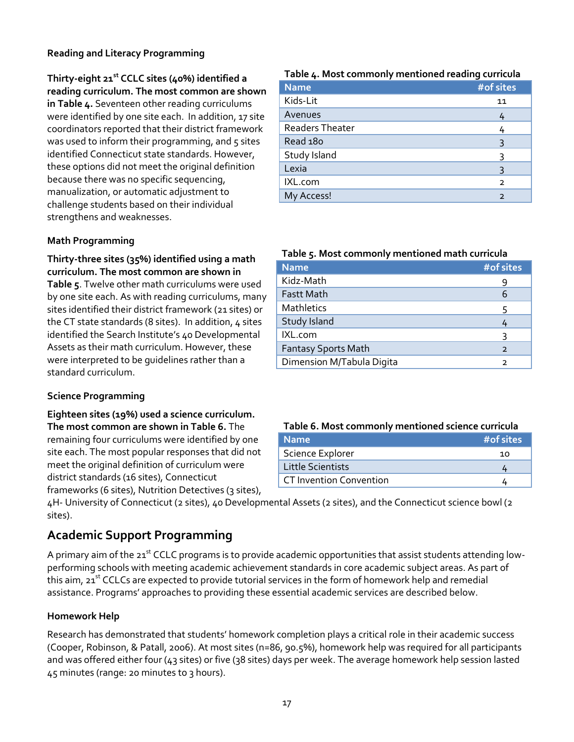#### **Reading and Literacy Programming**

#### **Thirty-eight 21st CCLC sites (40%) identified a reading curriculum. The most common are shown**

**in Table 4.** Seventeen other reading curriculums were identified by one site each. In addition, 17 site coordinators reported that their district framework was used to inform their programming, and 5 sites identified Connecticut state standards. However, these options did not meet the original definition because there was no specific sequencing, manualization, or automatic adjustment to challenge students based on their individual strengthens and weaknesses.

#### **Math Programming**

#### **Thirty-three sites (35%) identified using a math curriculum. The most common are shown in**

**Table 5**. Twelve other math curriculums were used by one site each. As with reading curriculums, many sites identified their district framework (21 sites) or the CT state standards (8 sites). In addition, 4 sites identified the Search Institute's 40 Developmental Assets as their math curriculum. However, these were interpreted to be guidelines rather than a standard curriculum.

#### **Science Programming**

**Eighteen sites (19%) used a science curriculum. The most common are shown in Table 6.** The remaining four curriculums were identified by one site each. The most popular responses that did not meet the original definition of curriculum were district standards (16 sites), Connecticut frameworks (6 sites), Nutrition Detectives (3 sites),

## 4H- University of Connecticut (2 sites), 40 Developmental Assets (2 sites), and the Connecticut science bowl (2 sites).

#### **Academic Support Programming**

A primary aim of the 21<sup>st</sup> CCLC programs is to provide academic opportunities that assist students attending lowperforming schools with meeting academic achievement standards in core academic subject areas. As part of this aim, 21<sup>st</sup> CCLCs are expected to provide tutorial services in the form of homework help and remedial assistance. Programs' approaches to providing these essential academic services are described below.

#### **Homework Help**

Research has demonstrated that students' homework completion plays a critical role in their academic success (Cooper, Robinson, & Patall, 2006). At most sites (n=86, 90.5%), homework help was required for all participants and was offered either four (43 sites) or five (38 sites) days per week. The average homework help session lasted 45 minutes (range: 20 minutes to 3 hours).

#### **Table 4. Most commonly mentioned reading curricula**

|                        | - |                |
|------------------------|---|----------------|
| <b>Name</b>            |   | #of sites      |
| Kids-Lit               |   | 11             |
| Avenues                |   | 4              |
| <b>Readers Theater</b> |   | 4              |
| Read 180               |   | 3              |
| Study Island           |   | ς              |
| Lexia                  |   | 3              |
| IXL.com                |   | $\overline{2}$ |
| My Access!             |   | $\overline{2}$ |

#### **Table 5. Most commonly mentioned math curricula**

| <b>Name</b>                | #of sites      |
|----------------------------|----------------|
| Kidz-Math                  | 9              |
| <b>Fastt Math</b>          | 6              |
| Mathletics                 | 5              |
| Study Island               |                |
| IXL.com                    | ર              |
| <b>Fantasy Sports Math</b> | $\overline{2}$ |
| Dimension M/Tabula Digita  | $\mathcal{P}$  |

#### **Table 6. Most commonly mentioned science curricula**

| <b>Name</b>                    | #of sites |
|--------------------------------|-----------|
| Science Explorer               | 1ດ        |
| <b>Little Scientists</b>       |           |
| <b>CT Invention Convention</b> |           |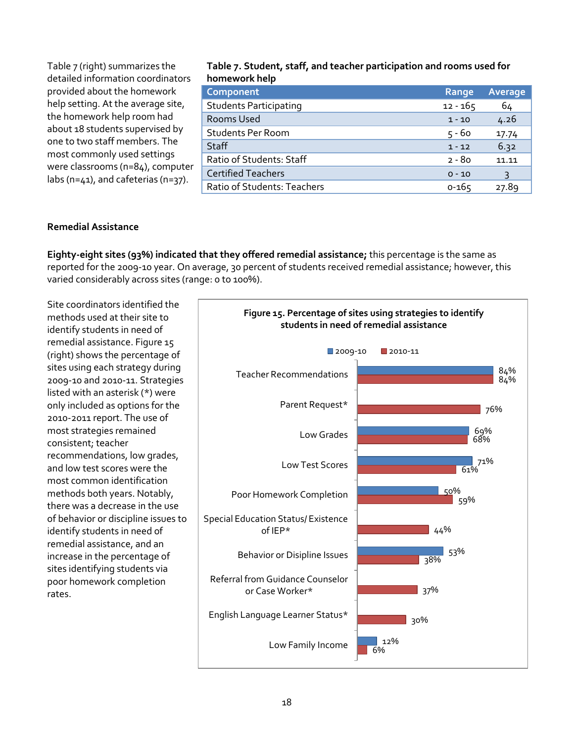| Table 7 (right) summarizes the<br>detailed information coordinators             | Table 7. Student, staff, and teacher participation and rooms used for<br>homework help |            |         |
|---------------------------------------------------------------------------------|----------------------------------------------------------------------------------------|------------|---------|
| provided about the homework                                                     | Component                                                                              | Range      | Average |
| help setting. At the average site,                                              | <b>Students Participating</b>                                                          | $12 - 165$ | 64      |
| the homework help room had                                                      | Rooms Used                                                                             | $1 - 10$   | 4.26    |
| about 18 students supervised by                                                 | <b>Students Per Room</b>                                                               | $5 - 60$   | 17.74   |
| one to two staff members. The                                                   | Staff                                                                                  | $1 - 12$   | 6.32    |
| most commonly used settings                                                     | Ratio of Students: Staff                                                               | $2 - 80$   | 11.11   |
| were classrooms (n=84), computer<br>labs ( $n=41$ ), and cafeterias ( $n=37$ ). | <b>Certified Teachers</b>                                                              | $0 - 10$   | 3       |
|                                                                                 | Ratio of Students: Teachers                                                            | $0 - 165$  | 27.89   |

#### **Remedial Assistance**

**Eighty-eight sites (93%) indicated that they offered remedial assistance;** this percentage is the same as reported for the 2009-10 year. On average, 30 percent of students received remedial assistance; however, this varied considerably across sites (range: 0 to 100%).

Site coordinators identified the methods used at their site to identify students in need of remedial assistance. Figure 15 (right) shows the percentage of sites using each strategy during 2009-10 and 2010-11. Strategies listed with an asterisk (\*) were only included as options for the 2010-2011 report. The use of most strategies remained consistent; teacher recommendations, low grades, and low test scores were the most common identification methods both years. Notably, there was a decrease in the use of behavior or discipline issues to identify students in need of remedial assistance, and an increase in the percentage of sites identifying students via poor homework completion rates.

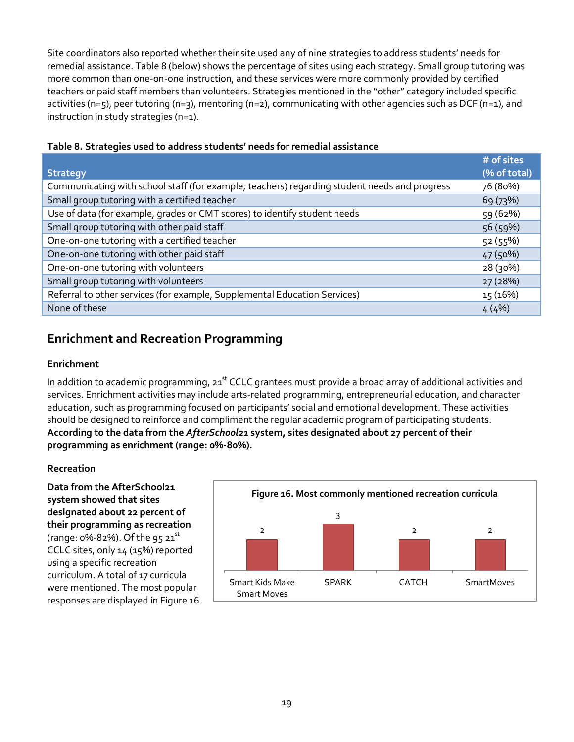Site coordinators also reported whether their site used any of nine strategies to address students' needs for remedial assistance. Table 8 (below) shows the percentage of sites using each strategy. Small group tutoring was more common than one-on-one instruction, and these services were more commonly provided by certified teachers or paid staff members than volunteers. Strategies mentioned in the "other" category included specific activities (n=5), peer tutoring (n=3), mentoring (n=2), communicating with other agencies such as DCF (n=1), and instruction in study strategies (n=1).

|                                                                                              | # of sites   |
|----------------------------------------------------------------------------------------------|--------------|
| <b>Strategy</b>                                                                              | (% of total) |
| Communicating with school staff (for example, teachers) regarding student needs and progress | 76 (80%)     |
| Small group tutoring with a certified teacher                                                | 69 (73%)     |
| Use of data (for example, grades or CMT scores) to identify student needs                    | 59 (62%)     |
| Small group tutoring with other paid staff                                                   | 56(59%)      |
| One-on-one tutoring with a certified teacher                                                 | 52(55%)      |
| One-on-one tutoring with other paid staff                                                    | 47 (50%)     |
| One-on-one tutoring with volunteers                                                          | 28 (30%)     |
| Small group tutoring with volunteers                                                         | 27 (28%)     |
| Referral to other services (for example, Supplemental Education Services)                    | 15(16%)      |
| None of these                                                                                | 4(4%)        |

#### **Table 8. Strategies used to address students' needs for remedial assistance**

#### **Enrichment and Recreation Programming**

#### **Enrichment**

In addition to academic programming, 21<sup>st</sup> CCLC grantees must provide a broad array of additional activities and services. Enrichment activities may include arts-related programming, entrepreneurial education, and character education, such as programming focused on participants' social and emotional development. These activities should be designed to reinforce and compliment the regular academic program of participating students. **According to the data from the** *AfterSchool21* **system, sites designated about 27 percent of their programming as enrichment (range: 0%-80%).** 

#### **Recreation**

**Data from the AfterSchool21 system showed that sites designated about 22 percent of their programming as recreation** (range:  $0\% - 82\%$ ). Of the 95 21st CCLC sites, only 14 (15%) reported using a specific recreation curriculum. A total of 17 curricula were mentioned. The most popular responses are displayed in Figure 16.

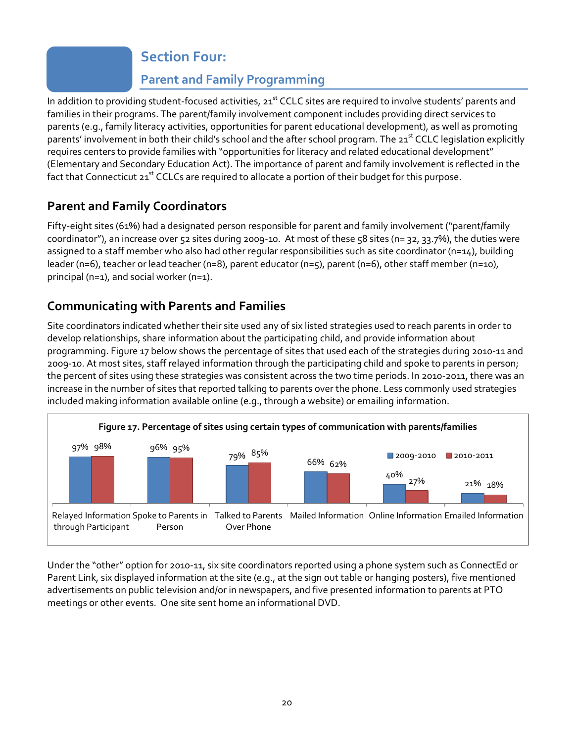### **Section Four:**

## **Parent and Family Programming**

In addition to providing student-focused activities, 21<sup>st</sup> CCLC sites are required to involve students' parents and families in their programs. The parent/family involvement component includes providing direct services to parents (e.g., family literacy activities, opportunities for parent educational development), as well as promoting parents' involvement in both their child's school and the after school program. The 21<sup>st</sup> CCLC legislation explicitly requires centers to provide families with "opportunities for literacy and related educational development" (Elementary and Secondary Education Act). The importance of parent and family involvement is reflected in the fact that Connecticut 21<sup>st</sup> CCLCs are required to allocate a portion of their budget for this purpose.

## **Parent and Family Coordinators**

Fifty-eight sites (61%) had a designated person responsible for parent and family involvement ("parent/family coordinator"), an increase over 52 sites during 2009-10. At most of these 58 sites (n= 32, 33.7%), the duties were assigned to a staff member who also had other regular responsibilities such as site coordinator ( $n=14$ ), building leader (n=6), teacher or lead teacher (n=8), parent educator (n=5), parent (n=6), other staff member (n=10), principal (n=1), and social worker (n=1).

#### **Communicating with Parents and Families**

Site coordinators indicated whether their site used any of six listed strategies used to reach parents in order to develop relationships, share information about the participating child, and provide information about programming. Figure 17 below shows the percentage of sites that used each of the strategies during 2010-11 and 2009-10. At most sites, staff relayed information through the participating child and spoke to parents in person; the percent of sites using these strategies was consistent across the two time periods. In 2010-2011, there was an increase in the number of sites that reported talking to parents over the phone. Less commonly used strategies included making information available online (e.g., through a website) or emailing information.



Under the "other" option for 2010-11, six site coordinators reported using a phone system such as ConnectEd or Parent Link, six displayed information at the site (e.g., at the sign out table or hanging posters), five mentioned advertisements on public television and/or in newspapers, and five presented information to parents at PTO meetings or other events. One site sent home an informational DVD.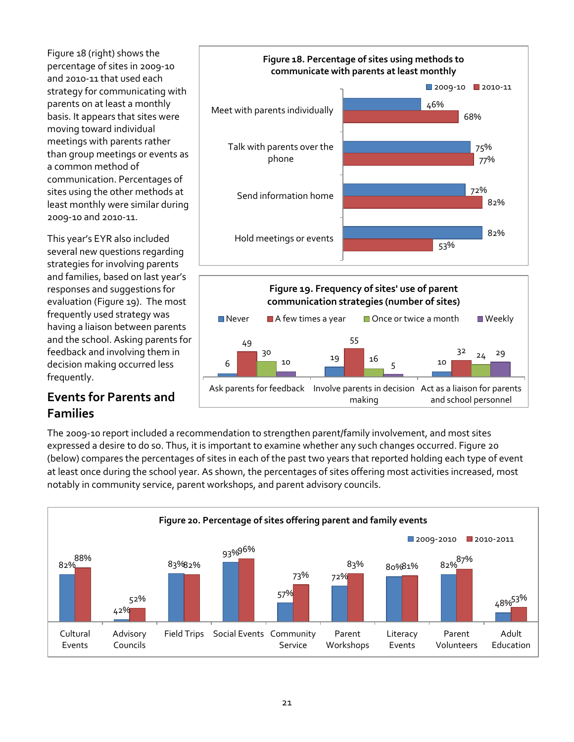Figure 18 (right) shows the percentage of sites in 2009-10 and 2010-11 that used each strategy for communicating with parents on at least a monthly basis. It appears that sites were moving toward individual meetings with parents rather than group meetings or events as a common method of communication. Percentages of sites using the other methods at least monthly were similar during 2009-10 and 2010-11.

This year's EYR also included several new questions regarding strategies for involving parents and families, based on last year's responses and suggestions for evaluation (Figure 19). The most frequently used strategy was having a liaison between parents and the school. Asking parents for feedback and involving them in decision making occurred less frequently.

#### **Events for Parents and Families**



Ask parents for feedback Involve parents in decision Act as a liaison for parents making

and school personnel

The 2009-10 report included a recommendation to strengthen parent/family involvement, and most sites expressed a desire to do so. Thus, it is important to examine whether any such changes occurred. Figure 20 (below) compares the percentages of sites in each of the past two years that reported holding each type of event at least once during the school year. As shown, the percentages of sites offering most activities increased, most notably in community service, parent workshops, and parent advisory councils.

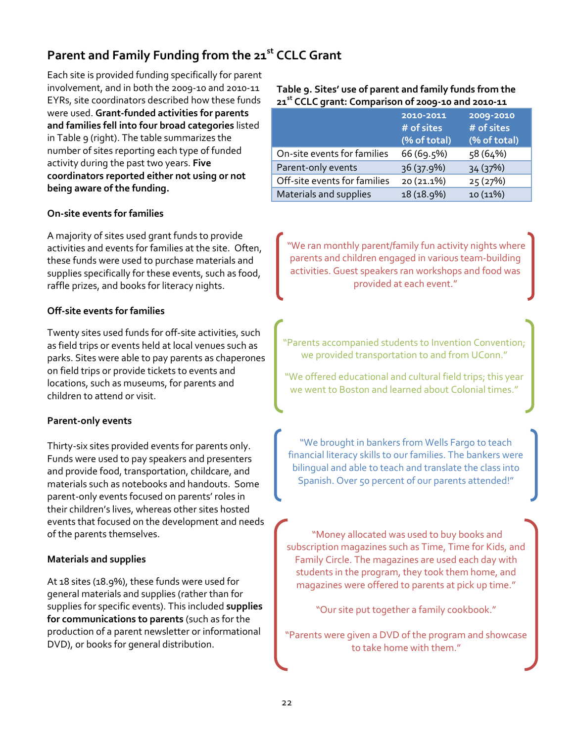## **Parent and Family Funding from the 21st CCLC Grant**

Each site is provided funding specifically for parent involvement, and in both the 2009-10 and 2010-11 EYRs, site coordinators described how these funds were used. **Grant-funded activities for parents and families fell into four broad categories** listed in Table 9 (right). The table summarizes the number of sites reporting each type of funded activity during the past two years. **Five coordinators reported either not using or not being aware of the funding.** 

#### **On-site events for families**

A majority of sites used grant funds to provide activities and events for families at the site. Often, these funds were used to purchase materials and supplies specifically for these events, such as food, raffle prizes, and books for literacy nights.

#### **Off-site events for families**

Twenty sites used funds for off-site activities, such as field trips or events held at local venues such as parks. Sites were able to pay parents as chaperones on field trips or provide tickets to events and locations, such as museums, for parents and children to attend or visit.

#### **Parent-only events**

Thirty-six sites provided events for parents only. Funds were used to pay speakers and presenters and provide food, transportation, childcare, and materials such as notebooks and handouts. Some parent-only events focused on parents' roles in their children's lives, whereas other sites hosted events that focused on the development and needs of the parents themselves.

#### **Materials and supplies**

At 18 sites (18.9%), these funds were used for general materials and supplies (rather than for supplies for specific events). This included **supplies for communications to parents** (such as for the production of a parent newsletter or informational DVD), or books for general distribution.

**Table 9. Sites' use of parent and family funds from the 21st CCLC grant: Comparison of 2009-10 and 2010-11**

|                              | 2010-2011<br># of sites<br>(% of total) | 2009-2010<br># of sites<br>(% of total) |
|------------------------------|-----------------------------------------|-----------------------------------------|
| On-site events for families  | 66 (69.5%)                              | 58 (64%)                                |
| Parent-only events           | 36 (37.9%)                              | 34 (37%)                                |
| Off-site events for families | 20 (21.1%)                              | 25(27%)                                 |
| Materials and supplies       | 18 (18.9%)                              | 10 (11%)                                |

"We ran monthly parent/family fun activity nights where parents and children engaged in various team-building activities. Guest speakers ran workshops and food was provided at each event."

"Parents accompanied students to Invention Convention; we provided transportation to and from UConn."

"We offered educational and cultural field trips; this year we went to Boston and learned about Colonial times."

"We brought in bankers from Wells Fargo to teach financial literacy skills to our families. The bankers were bilingual and able to teach and translate the class into Spanish. Over 50 percent of our parents attended!"

"Money allocated was used to buy books and subscription magazines such as Time, Time for Kids, and Family Circle. The magazines are used each day with students in the program, they took them home, and magazines were offered to parents at pick up time."

"Our site put together a family cookbook."

"Parents were given a DVD of the program and showcase to take home with them."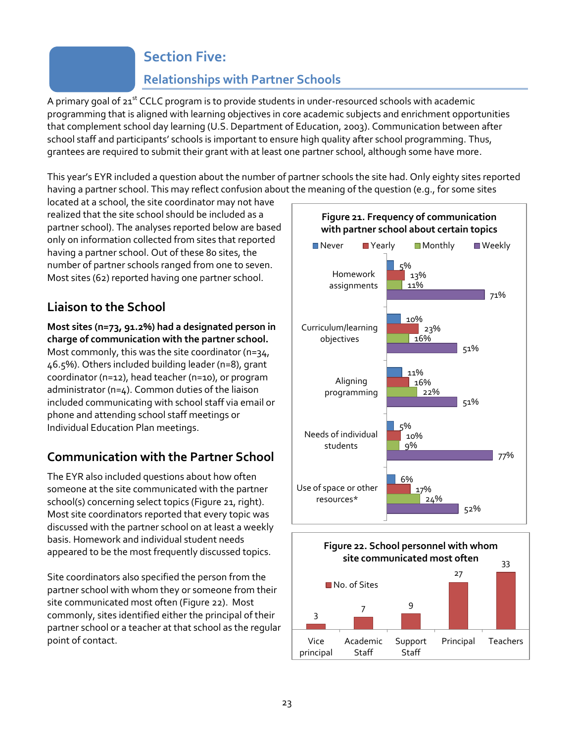## **Section Five:**

## **Relationships with Partner Schools**

A primary goal of  $21<sup>st</sup>$  CCLC program is to provide students in under-resourced schools with academic programming that is aligned with learning objectives in core academic subjects and enrichment opportunities that complement school day learning (U.S. Department of Education, 2003). Communication between after school staff and participants' schools is important to ensure high quality after school programming. Thus, grantees are required to submit their grant with at least one partner school, although some have more.

This year's EYR included a question about the number of partner schools the site had. Only eighty sites reported having a partner school. This may reflect confusion about the meaning of the question (e.g., for some sites

located at a school, the site coordinator may not have realized that the site school should be included as a partner school). The analyses reported below are based only on information collected from sites that reported having a partner school. Out of these 80 sites, the number of partner schools ranged from one to seven. Most sites (62) reported having one partner school.

## **Liaison to the School**

**Most sites (n=73, 91.2%) had a designated person in charge of communication with the partner school.** Most commonly, this was the site coordinator (n=34, 46.5%). Others included building leader (n=8), grant coordinator (n=12), head teacher (n=10), or program administrator (n=4). Common duties of the liaison included communicating with school staff via email or phone and attending school staff meetings or Individual Education Plan meetings.

## **Communication with the Partner School**

The EYR also included questions about how often someone at the site communicated with the partner school(s) concerning select topics (Figure 21, right). Most site coordinators reported that every topic was discussed with the partner school on at least a weekly basis. Homework and individual student needs appeared to be the most frequently discussed topics.

Site coordinators also specified the person from the partner school with whom they or someone from their site communicated most often (Figure 22). Most commonly, sites identified either the principal of their partner school or a teacher at that school as the regular point of contact.



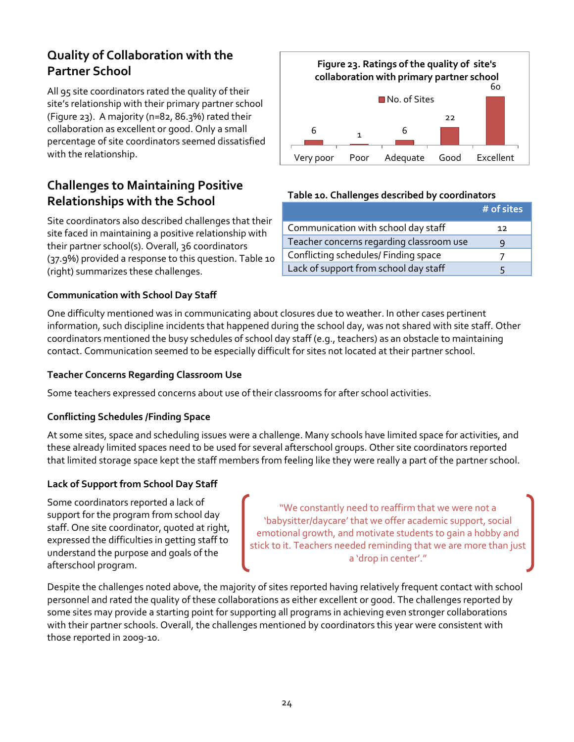### **Quality of Collaboration with the Partner School**

All 95 site coordinators rated the quality of their site's relationship with their primary partner school (Figure 23). A majority (n=82, 86.3%) rated their collaboration as excellent or good. Only a small percentage of site coordinators seemed dissatisfied with the relationship.

### **Challenges to Maintaining Positive Relationships with the School**

Site coordinators also described challenges that their site faced in maintaining a positive relationship with their partner school(s). Overall, 36 coordinators (37.9%) provided a response to this question. Table 10 (right) summarizes these challenges.

# **Communication with School Day Staff**



#### **Teacher Concerns Regarding Classroom Use**

Some teachers expressed concerns about use of their classrooms for after school activities.

#### **Conflicting Schedules /Finding Space**

At some sites, space and scheduling issues were a challenge. Many schools have limited space for activities, and these already limited spaces need to be used for several afterschool groups. Other site coordinators reported that limited storage space kept the staff members from feeling like they were really a part of the partner school.

#### **Lack of Support from School Day Staff**

Some coordinators reported a lack of support for the program from school day staff. One site coordinator, quoted at right, expressed the difficulties in getting staff to understand the purpose and goals of the afterschool program.

"We constantly need to reaffirm that we were not a 'babysitter/daycare' that we offer academic support, social emotional growth, and motivate students to gain a hobby and stick to it. Teachers needed reminding that we are more than just a 'drop in center'."

Despite the challenges noted above, the majority of sites reported having relatively frequent contact with school personnel and rated the quality of these collaborations as either excellent or good. The challenges reported by some sites may provide a starting point for supporting all programs in achieving even stronger collaborations with their partner schools. Overall, the challenges mentioned by coordinators this year were consistent with those reported in 2009-10.



#### **Table 10. Challenges described by coordinators**

|                                          | $#$ of sites |
|------------------------------------------|--------------|
| Communication with school day staff      | 12           |
| Teacher concerns regarding classroom use |              |
| Conflicting schedules/ Finding space     |              |
| Lack of support from school day staff    |              |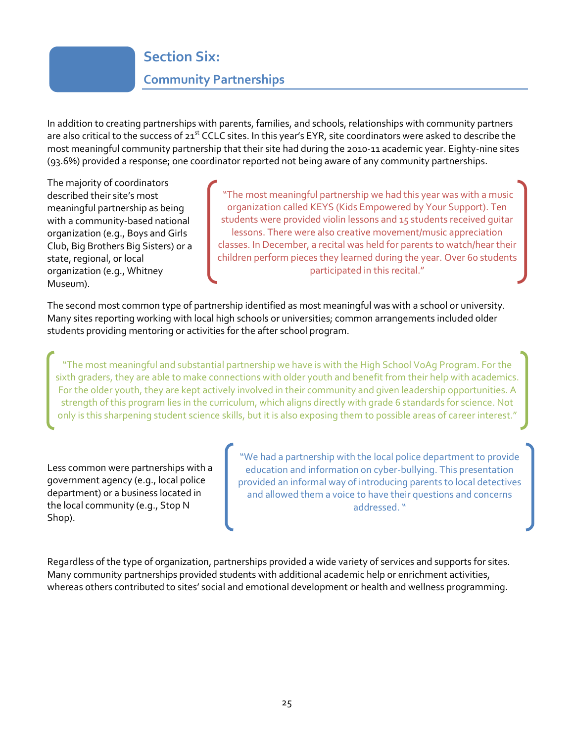# **Section Six: Community Partnerships**

In addition to creating partnerships with parents, families, and schools, relationships with community partners are also critical to the success of  $21^{st}$  CCLC sites. In this year's EYR, site coordinators were asked to describe the most meaningful community partnership that their site had during the 2010-11 academic year. Eighty-nine sites (93.6%) provided a response; one coordinator reported not being aware of any community partnerships.

The majority of coordinators described their site's most meaningful partnership as being with a community-based national organization (e.g., Boys and Girls Club, Big Brothers Big Sisters) or a state, regional, or local organization (e.g., Whitney Museum).

"The most meaningful partnership we had this year was with a music organization called KEYS (Kids Empowered by Your Support). Ten students were provided violin lessons and 15 students received guitar lessons. There were also creative movement/music appreciation classes. In December, a recital was held for parents to watch/hear their children perform pieces they learned during the year. Over 60 students participated in this recital."

The second most common type of partnership identified as most meaningful was with a school or university. Many sites reporting working with local high schools or universities; common arrangements included older students providing mentoring or activities for the after school program.

"The most meaningful and substantial partnership we have is with the High School VoAg Program. For the sixth graders, they are able to make connections with older youth and benefit from their help with academics. For the older youth, they are kept actively involved in their community and given leadership opportunities. A strength of this program lies in the curriculum, which aligns directly with grade 6 standards for science. Not only is this sharpening student science skills, but it is also exposing them to possible areas of career interest."

Less common were partnerships with a government agency (e.g., local police department) or a business located in the local community (e.g., Stop N Shop).

"We had a partnership with the local police department to provide education and information on cyber-bullying. This presentation provided an informal way of introducing parents to local detectives and allowed them a voice to have their questions and concerns addressed. "

Regardless of the type of organization, partnerships provided a wide variety of services and supports for sites. Many community partnerships provided students with additional academic help or enrichment activities, whereas others contributed to sites' social and emotional development or health and wellness programming.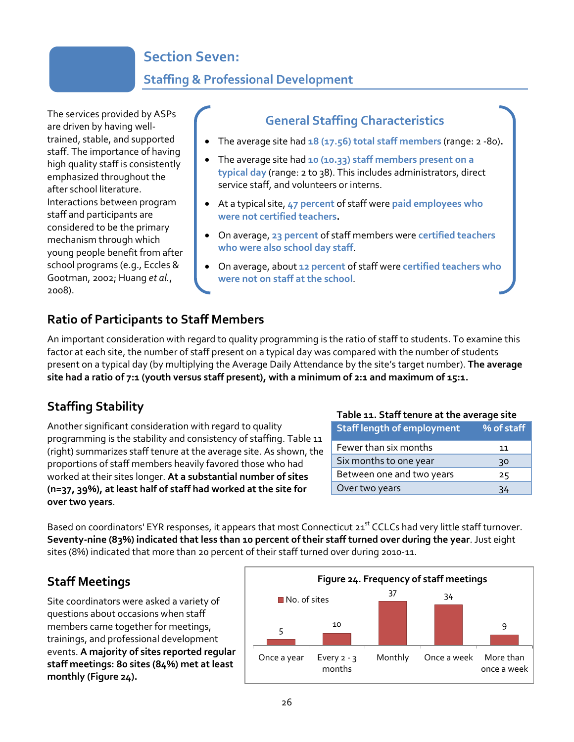## **Section Seven:**

## **Staffing & Professional Development**

The services provided by ASPs are driven by having welltrained, stable, and supported staff. The importance of having high quality staff is consistently emphasized throughout the after school literature. Interactions between program staff and participants are considered to be the primary mechanism through which young people benefit from after school programs (e.g., Eccles & Gootman, 2002; Huang *et al.*, 2008).

#### **General Staffing Characteristics**

- The average site had **18 (17.56) total staff members** (range: 2 -80)**.**
- The average site had **10 (10.33) staff members present on a typical day** (range: 2 to 38). This includes administrators, direct service staff, and volunteers or interns.
- At a typical site, **47 percent** of staff were **paid employees who were not certified teachers.**
- On average, **23 percent** of staff members were **certified teachers who were also school day staff**.
- On average, about **12 percent** of staff were **certified teachers who were not on staff at the school**.

#### **Ratio of Participants to Staff Members**

An important consideration with regard to quality programming is the ratio of staff to students. To examine this factor at each site, the number of staff present on a typical day was compared with the number of students present on a typical day (by multiplying the Average Daily Attendance by the site's target number). **The average site had a ratio of 7:1 (youth versus staff present), with a minimum of 2:1 and maximum of 15:1.** 

### **Staffing Stability**

Another significant consideration with regard to quality programming is the stability and consistency of staffing. Table 11 (right) summarizes staff tenure at the average site. As shown, the proportions of staff members heavily favored those who had worked at their sites longer. **At a substantial number of sites (n=37, 39%), at least half of staff had worked at the site for over two years**.

#### **Table 11. Staff tenure at the average site**

| <b>Staff length of employment</b> | % of staff |
|-----------------------------------|------------|
| Fewer than six months             | 11         |
| Six months to one year            | 30         |
| Between one and two years         | 25         |
| Over two years                    |            |

Based on coordinators' EYR responses, it appears that most Connecticut 21<sup>st</sup> CCLCs had very little staff turnover. **Seventy-nine (83%) indicated that less than 10 percent of their staff turned over during the year**. Just eight sites (8%) indicated that more than 20 percent of their staff turned over during 2010-11.

### **Staff Meetings**

Site coordinators were asked a variety of questions about occasions when staff members came together for meetings, trainings, and professional development events. **A majority of sites reported regular staff meetings: 80 sites (84%) met at least monthly (Figure 24).**

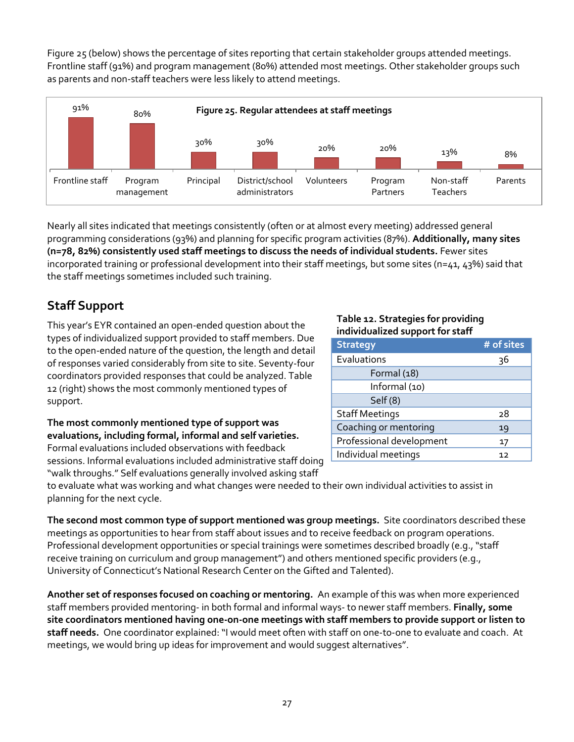Figure 25 (below) shows the percentage of sites reporting that certain stakeholder groups attended meetings. Frontline staff (91%) and program management (80%) attended most meetings. Other stakeholder groups such as parents and non-staff teachers were less likely to attend meetings.



Nearly all sites indicated that meetings consistently (often or at almost every meeting) addressed general programming considerations (93%) and planning for specific program activities (87%). **Additionally, many sites (n=78, 82%) consistently used staff meetings to discuss the needs of individual students.** Fewer sites incorporated training or professional development into their staff meetings, but some sites (n=41, 43%) said that the staff meetings sometimes included such training.

## **Staff Support**

This year's EYR contained an open-ended question about the types of individualized support provided to staff members. Due to the open-ended nature of the question, the length and detail of responses varied considerably from site to site. Seventy-four coordinators provided responses that could be analyzed. Table 12 (right) shows the most commonly mentioned types of support.

**The most commonly mentioned type of support was evaluations, including formal, informal and self varieties.** Formal evaluations included observations with feedback sessions. Informal evaluations included administrative staff doing

"walk throughs." Self evaluations generally involved asking staff

#### **Table 12. Strategies for providing individualized support for staff**

| <b>Strategy</b>          | # of sites |
|--------------------------|------------|
| Evaluations              | 36         |
| Formal (18)              |            |
| Informal (10)            |            |
| Self (8)                 |            |
| <b>Staff Meetings</b>    | 28         |
| Coaching or mentoring    | 19         |
| Professional development | 17         |
| Individual meetings      | 12         |

to evaluate what was working and what changes were needed to their own individual activities to assist in planning for the next cycle.

**The second most common type of support mentioned was group meetings.** Site coordinators described these meetings as opportunities to hear from staff about issues and to receive feedback on program operations. Professional development opportunities or special trainings were sometimes described broadly (e.g., "staff receive training on curriculum and group management") and others mentioned specific providers (e.g., University of Connecticut's National Research Center on the Gifted and Talented).

**Another set of responses focused on coaching or mentoring.** An example of this was when more experienced staff members provided mentoring- in both formal and informal ways- to newer staff members. **Finally, some site coordinators mentioned having one-on-one meetings with staff members to provide support or listen to staff needs.** One coordinator explained: "I would meet often with staff on one-to-one to evaluate and coach. At meetings, we would bring up ideas for improvement and would suggest alternatives".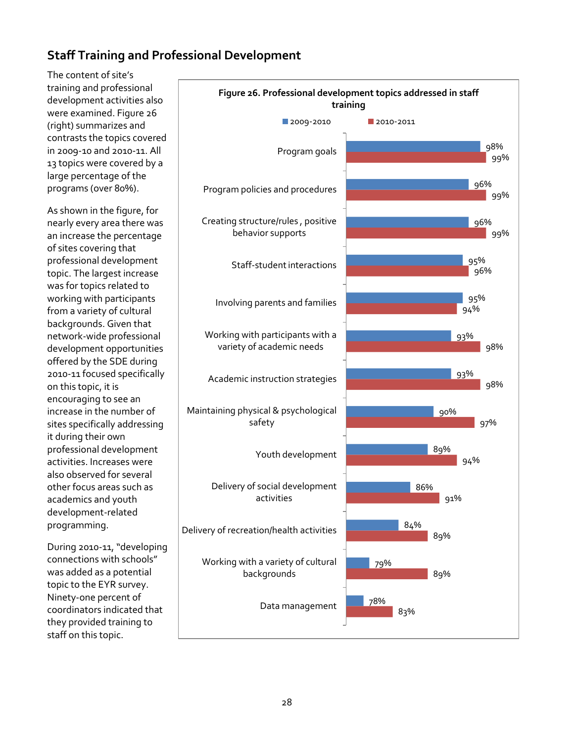### **Staff Training and Professional Development**

The content of site's training and professional development activities also were examined. Figure 26 (right) summarizes and contrasts the topics covered in 2009-10 and 2010-11. All 13 topics were covered by a large percentage of the programs (over 80%).

As shown in the figure, for nearly every area there was an increase the percentage of sites covering that professional development topic. The largest increase was for topics related to working with participants from a variety of cultural backgrounds. Given that network-wide professional development opportunities offered by the SDE during 2010-11 focused specifically on this topic, it is encouraging to see an increase in the number of sites specifically addressing it during their own professional development activities. Increases were also observed for several other focus areas such as academics and youth development-related programming.

During 2010-11, "developing connections with schools" was added as a potential topic to the EYR survey. Ninety-one percent of coordinators indicated that they provided training to staff on this topic.

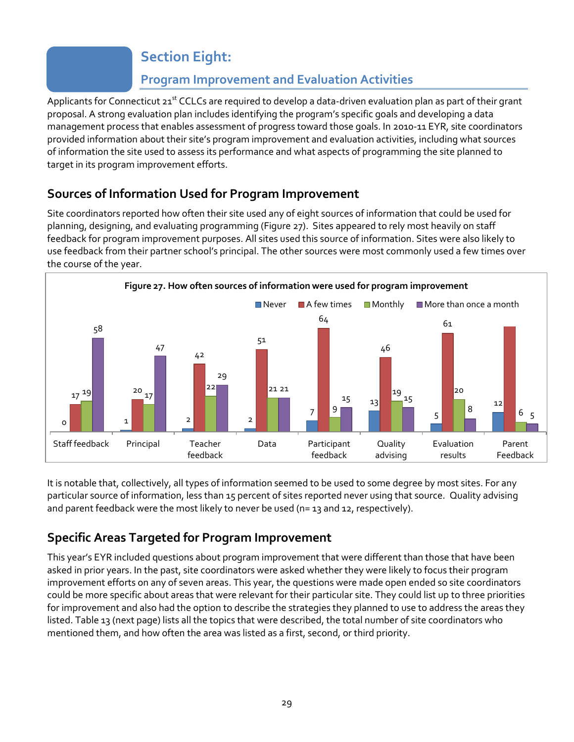## **Section Eight:**

## **Program Improvement and Evaluation Activities**

Applicants for Connecticut  $21^{st}$  CCLCs are required to develop a data-driven evaluation plan as part of their grant proposal. A strong evaluation plan includes identifying the program's specific goals and developing a data management process that enables assessment of progress toward those goals. In 2010-11 EYR, site coordinators provided information about their site's program improvement and evaluation activities, including what sources of information the site used to assess its performance and what aspects of programming the site planned to target in its program improvement efforts.

## **Sources of Information Used for Program Improvement**

Site coordinators reported how often their site used any of eight sources of information that could be used for planning, designing, and evaluating programming (Figure 27). Sites appeared to rely most heavily on staff feedback for program improvement purposes. All sites used this source of information. Sites were also likely to use feedback from their partner school's principal. The other sources were most commonly used a few times over the course of the year.



It is notable that, collectively, all types of information seemed to be used to some degree by most sites. For any particular source of information, less than 15 percent of sites reported never using that source. Quality advising and parent feedback were the most likely to never be used ( $n=$  13 and 12, respectively).

## **Specific Areas Targeted for Program Improvement**

This year's EYR included questions about program improvement that were different than those that have been asked in prior years. In the past, site coordinators were asked whether they were likely to focus their program improvement efforts on any of seven areas. This year, the questions were made open ended so site coordinators could be more specific about areas that were relevant for their particular site. They could list up to three priorities for improvement and also had the option to describe the strategies they planned to use to address the areas they listed. Table 13 (next page) lists all the topics that were described, the total number of site coordinators who mentioned them, and how often the area was listed as a first, second, or third priority.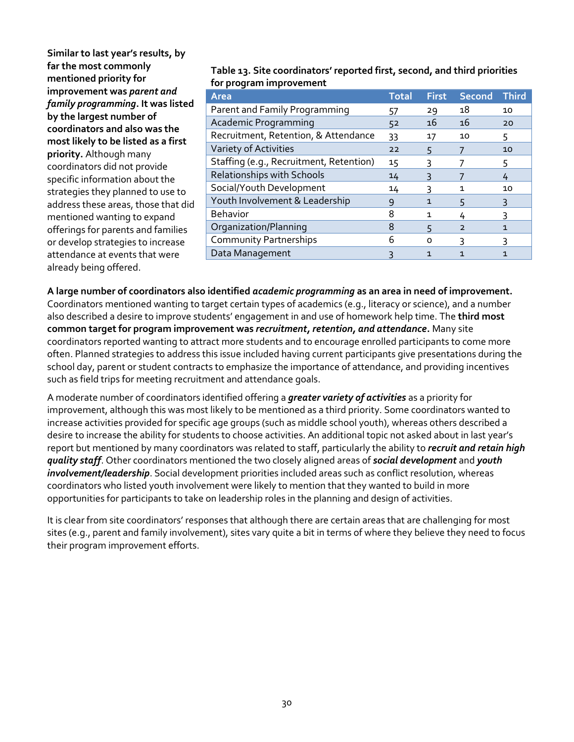| Similar to last year's results, by<br>far the most commonly<br>mentioned priority for<br>improvement was parent and<br>family programming. It was listed<br>by the largest number of<br>coordinators and also was the<br>most likely to be listed as a first<br>priority. Although many<br>coordinators did not provide<br>specific information about the<br>strategies they planned to use to<br>address these areas, those that did<br>mentioned wanting to expand<br>offerings for parents and families<br>or develop strategies to increase<br>attendance at events that were | Table 13. Site coordinators' reported first, second, and third priorities<br>for program improvement |       |              |                |              |
|-----------------------------------------------------------------------------------------------------------------------------------------------------------------------------------------------------------------------------------------------------------------------------------------------------------------------------------------------------------------------------------------------------------------------------------------------------------------------------------------------------------------------------------------------------------------------------------|------------------------------------------------------------------------------------------------------|-------|--------------|----------------|--------------|
|                                                                                                                                                                                                                                                                                                                                                                                                                                                                                                                                                                                   | <b>Area</b>                                                                                          | Total | <b>First</b> | <b>Second</b>  | <b>Third</b> |
|                                                                                                                                                                                                                                                                                                                                                                                                                                                                                                                                                                                   | Parent and Family Programming                                                                        | 57    | 29           | 18             | 10           |
|                                                                                                                                                                                                                                                                                                                                                                                                                                                                                                                                                                                   | Academic Programming                                                                                 | 52    | 16           | 16             | 20           |
|                                                                                                                                                                                                                                                                                                                                                                                                                                                                                                                                                                                   | Recruitment, Retention, & Attendance                                                                 | 33    | 17           | 10             | 5            |
|                                                                                                                                                                                                                                                                                                                                                                                                                                                                                                                                                                                   | Variety of Activities                                                                                | 22    | 5            | 7              | 10           |
|                                                                                                                                                                                                                                                                                                                                                                                                                                                                                                                                                                                   | Staffing (e.g., Recruitment, Retention)                                                              | 15    | ς            | 7              | 5            |
|                                                                                                                                                                                                                                                                                                                                                                                                                                                                                                                                                                                   | Relationships with Schools                                                                           | 14    | 3            | 7              | 4            |
|                                                                                                                                                                                                                                                                                                                                                                                                                                                                                                                                                                                   | Social/Youth Development                                                                             | 14    | 3            | 1              | 10           |
|                                                                                                                                                                                                                                                                                                                                                                                                                                                                                                                                                                                   | Youth Involvement & Leadership                                                                       | 9     | $\mathbf{1}$ | 5              | 3            |
|                                                                                                                                                                                                                                                                                                                                                                                                                                                                                                                                                                                   | <b>Behavior</b>                                                                                      | 8     | 1            | 4              | 3            |
|                                                                                                                                                                                                                                                                                                                                                                                                                                                                                                                                                                                   | Organization/Planning                                                                                | 8     | 5            | $\overline{2}$ | $\mathbf{1}$ |
|                                                                                                                                                                                                                                                                                                                                                                                                                                                                                                                                                                                   | <b>Community Partnerships</b>                                                                        | 6     | $\circ$      | 3              | 3            |
|                                                                                                                                                                                                                                                                                                                                                                                                                                                                                                                                                                                   | Data Management                                                                                      | ζ     | $\mathbf{1}$ | $\mathbf{1}$   | $\mathbf{1}$ |
| already being offered.                                                                                                                                                                                                                                                                                                                                                                                                                                                                                                                                                            |                                                                                                      |       |              |                |              |

**A large number of coordinators also identified** *academic programming* **as an area in need of improvement.**  Coordinators mentioned wanting to target certain types of academics (e.g., literacy or science), and a number also described a desire to improve students' engagement in and use of homework help time. The **third most common target for program improvement was** *recruitment, retention, and attendance***.** Many site coordinators reported wanting to attract more students and to encourage enrolled participants to come more often. Planned strategies to address this issue included having current participants give presentations during the school day, parent or student contracts to emphasize the importance of attendance, and providing incentives such as field trips for meeting recruitment and attendance goals.

A moderate number of coordinators identified offering a *greater variety of activities* as a priority for improvement, although this was most likely to be mentioned as a third priority. Some coordinators wanted to increase activities provided for specific age groups (such as middle school youth), whereas others described a desire to increase the ability for students to choose activities. An additional topic not asked about in last year's report but mentioned by many coordinators was related to staff, particularly the ability to *recruit and retain high quality staff*. Other coordinators mentioned the two closely aligned areas of *social development* and *youth involvement/leadership*. Social development priorities included areas such as conflict resolution, whereas coordinators who listed youth involvement were likely to mention that they wanted to build in more opportunities for participants to take on leadership roles in the planning and design of activities.

It is clear from site coordinators' responses that although there are certain areas that are challenging for most sites (e.g., parent and family involvement), sites vary quite a bit in terms of where they believe they need to focus their program improvement efforts.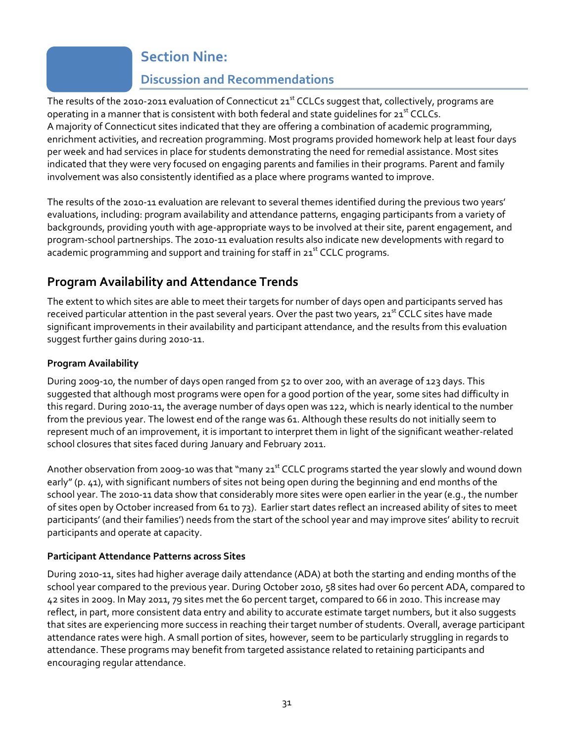## **Section Nine:**

## **Discussion and Recommendations**

The results of the 2010-2011 evaluation of Connecticut 21<sup>st</sup> CCLCs suggest that, collectively, programs are operating in a manner that is consistent with both federal and state quidelines for  $21^{st}$  CCLCs. A majority of Connecticut sites indicated that they are offering a combination of academic programming, enrichment activities, and recreation programming. Most programs provided homework help at least four days per week and had services in place for students demonstrating the need for remedial assistance. Most sites indicated that they were very focused on engaging parents and families in their programs. Parent and family involvement was also consistently identified as a place where programs wanted to improve.

The results of the 2010-11 evaluation are relevant to several themes identified during the previous two years' evaluations, including: program availability and attendance patterns, engaging participants from a variety of backgrounds, providing youth with age-appropriate ways to be involved at their site, parent engagement, and program-school partnerships. The 2010-11 evaluation results also indicate new developments with regard to academic programming and support and training for staff in 21<sup>st</sup> CCLC programs.

## **Program Availability and Attendance Trends**

The extent to which sites are able to meet their targets for number of days open and participants served has received particular attention in the past several years. Over the past two years, 21<sup>st</sup> CCLC sites have made significant improvements in their availability and participant attendance, and the results from this evaluation suggest further gains during 2010-11.

#### **Program Availability**

During 2009-10, the number of days open ranged from 52 to over 200, with an average of 123 days. This suggested that although most programs were open for a good portion of the year, some sites had difficulty in this regard. During 2010-11, the average number of days open was 122, which is nearly identical to the number from the previous year. The lowest end of the range was 61. Although these results do not initially seem to represent much of an improvement, it is important to interpret them in light of the significant weather-related school closures that sites faced during January and February 2011.

Another observation from 2009-10 was that "many 21<sup>st</sup> CCLC programs started the year slowly and wound down early" (p. 41), with significant numbers of sites not being open during the beginning and end months of the school year. The 2010-11 data show that considerably more sites were open earlier in the year (e.g., the number of sites open by October increased from 61 to 73). Earlier start dates reflect an increased ability of sites to meet participants' (and their families') needs from the start of the school year and may improve sites' ability to recruit participants and operate at capacity.

#### **Participant Attendance Patterns across Sites**

During 2010-11, sites had higher average daily attendance (ADA) at both the starting and ending months of the school year compared to the previous year. During October 2010, 58 sites had over 60 percent ADA, compared to 42 sites in 2009. In May 2011, 79 sites met the 60 percent target, compared to 66 in 2010. This increase may reflect, in part, more consistent data entry and ability to accurate estimate target numbers, but it also suggests that sites are experiencing more success in reaching their target number of students. Overall, average participant attendance rates were high. A small portion of sites, however, seem to be particularly struggling in regards to attendance. These programs may benefit from targeted assistance related to retaining participants and encouraging regular attendance.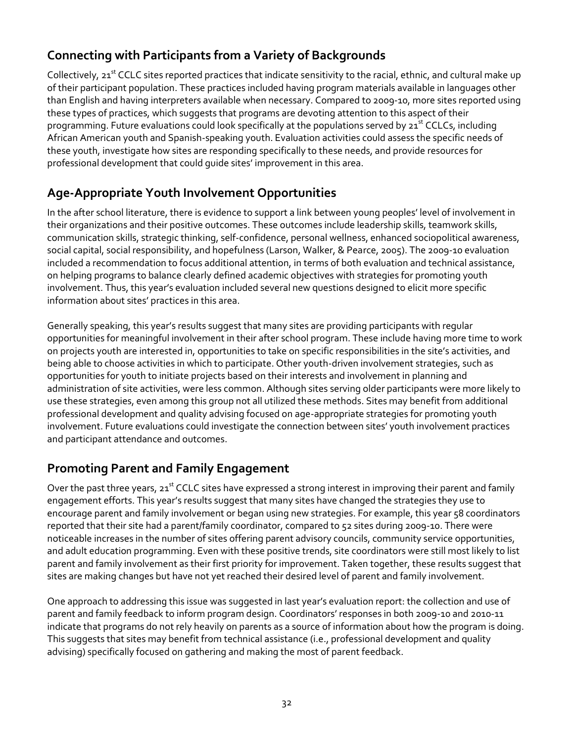## **Connecting with Participants from a Variety of Backgrounds**

Collectively, 21<sup>st</sup> CCLC sites reported practices that indicate sensitivity to the racial, ethnic, and cultural make up of their participant population. These practices included having program materials available in languages other than English and having interpreters available when necessary. Compared to 2009-10, more sites reported using these types of practices, which suggests that programs are devoting attention to this aspect of their programming. Future evaluations could look specifically at the populations served by 21 $^{\rm st}$  CCLCs, including African American youth and Spanish-speaking youth. Evaluation activities could assess the specific needs of these youth, investigate how sites are responding specifically to these needs, and provide resources for professional development that could guide sites' improvement in this area.

## **Age-Appropriate Youth Involvement Opportunities**

In the after school literature, there is evidence to support a link between young peoples' level of involvement in their organizations and their positive outcomes. These outcomes include leadership skills, teamwork skills, communication skills, strategic thinking, self‐confidence, personal wellness, enhanced sociopolitical awareness, social capital, social responsibility, and hopefulness (Larson, Walker, & Pearce, 2005). The 2009-10 evaluation included a recommendation to focus additional attention, in terms of both evaluation and technical assistance, on helping programs to balance clearly defined academic objectives with strategies for promoting youth involvement. Thus, this year's evaluation included several new questions designed to elicit more specific information about sites' practices in this area.

Generally speaking, this year's results suggest that many sites are providing participants with regular opportunities for meaningful involvement in their after school program. These include having more time to work on projects youth are interested in, opportunities to take on specific responsibilities in the site's activities, and being able to choose activities in which to participate. Other youth-driven involvement strategies, such as opportunities for youth to initiate projects based on their interests and involvement in planning and administration of site activities, were less common. Although sites serving older participants were more likely to use these strategies, even among this group not all utilized these methods. Sites may benefit from additional professional development and quality advising focused on age-appropriate strategies for promoting youth involvement. Future evaluations could investigate the connection between sites' youth involvement practices and participant attendance and outcomes.

### **Promoting Parent and Family Engagement**

Over the past three years, 21<sup>st</sup> CCLC sites have expressed a strong interest in improving their parent and family engagement efforts. This year's results suggest that many sites have changed the strategies they use to encourage parent and family involvement or began using new strategies. For example, this year 58 coordinators reported that their site had a parent/family coordinator, compared to 52 sites during 2009-10. There were noticeable increases in the number of sites offering parent advisory councils, community service opportunities, and adult education programming. Even with these positive trends, site coordinators were still most likely to list parent and family involvement as their first priority for improvement. Taken together, these results suggest that sites are making changes but have not yet reached their desired level of parent and family involvement.

One approach to addressing this issue was suggested in last year's evaluation report: the collection and use of parent and family feedback to inform program design. Coordinators' responses in both 2009-10 and 2010-11 indicate that programs do not rely heavily on parents as a source of information about how the program is doing. This suggests that sites may benefit from technical assistance (i.e., professional development and quality advising) specifically focused on gathering and making the most of parent feedback.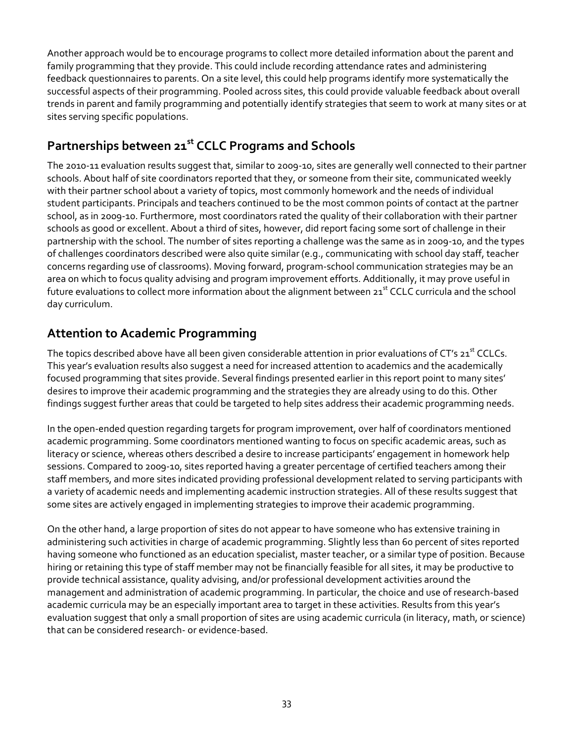Another approach would be to encourage programs to collect more detailed information about the parent and family programming that they provide. This could include recording attendance rates and administering feedback questionnaires to parents. On a site level, this could help programs identify more systematically the successful aspects of their programming. Pooled across sites, this could provide valuable feedback about overall trends in parent and family programming and potentially identify strategies that seem to work at many sites or at sites serving specific populations.

## **Partnerships between 21st CCLC Programs and Schools**

The 2010-11 evaluation results suggest that, similar to 2009-10, sites are generally well connected to their partner schools. About half of site coordinators reported that they, or someone from their site, communicated weekly with their partner school about a variety of topics, most commonly homework and the needs of individual student participants. Principals and teachers continued to be the most common points of contact at the partner school, as in 2009-10. Furthermore, most coordinators rated the quality of their collaboration with their partner schools as good or excellent. About a third of sites, however, did report facing some sort of challenge in their partnership with the school. The number of sites reporting a challenge was the same as in 2009-10, and the types of challenges coordinators described were also quite similar (e.g., communicating with school day staff, teacher concerns regarding use of classrooms). Moving forward, program-school communication strategies may be an area on which to focus quality advising and program improvement efforts. Additionally, it may prove useful in future evaluations to collect more information about the alignment between 21<sup>st</sup> CCLC curricula and the school day curriculum.

#### **Attention to Academic Programming**

The topics described above have all been given considerable attention in prior evaluations of CT's 21<sup>st</sup> CCLCs. This year's evaluation results also suggest a need for increased attention to academics and the academically focused programming that sites provide. Several findings presented earlier in this report point to many sites' desires to improve their academic programming and the strategies they are already using to do this. Other findings suggest further areas that could be targeted to help sites address their academic programming needs.

In the open-ended question regarding targets for program improvement, over half of coordinators mentioned academic programming. Some coordinators mentioned wanting to focus on specific academic areas, such as literacy or science, whereas others described a desire to increase participants' engagement in homework help sessions. Compared to 2009-10, sites reported having a greater percentage of certified teachers among their staff members, and more sites indicated providing professional development related to serving participants with a variety of academic needs and implementing academic instruction strategies. All of these results suggest that some sites are actively engaged in implementing strategies to improve their academic programming.

On the other hand, a large proportion of sites do not appear to have someone who has extensive training in administering such activities in charge of academic programming. Slightly less than 60 percent of sites reported having someone who functioned as an education specialist, master teacher, or a similar type of position. Because hiring or retaining this type of staff member may not be financially feasible for all sites, it may be productive to provide technical assistance, quality advising, and/or professional development activities around the management and administration of academic programming. In particular, the choice and use of research-based academic curricula may be an especially important area to target in these activities. Results from this year's evaluation suggest that only a small proportion of sites are using academic curricula (in literacy, math, or science) that can be considered research- or evidence-based.